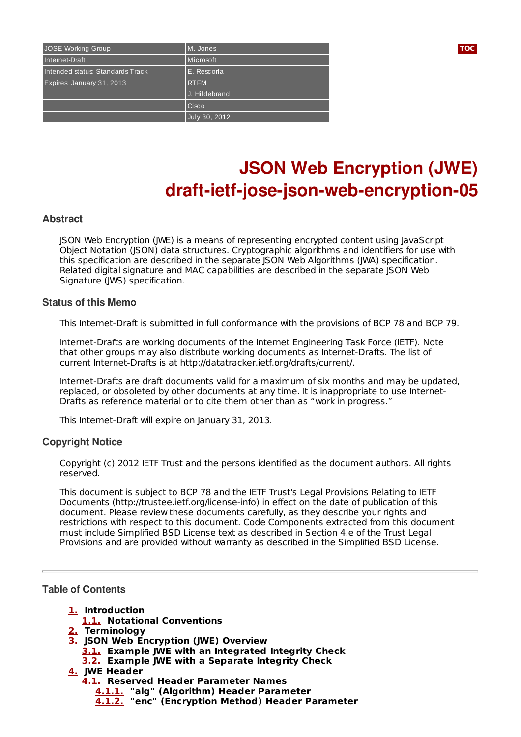| JOSE Working Group               | M. Jones      | <b>TOC</b> |
|----------------------------------|---------------|------------|
| Internet-Draft                   | Microsoft     |            |
| Intended status: Standards Track | E. Rescorla   |            |
| Expires: January 31, 2013        | <b>RTFM</b>   |            |
|                                  | J. Hildebrand |            |
|                                  | Cisco         |            |
|                                  | July 30, 2012 |            |

# **JSON Web Encryption (JWE) draft-ietf-jose-json-web-encryption-05**

#### **Abstract**

JSON Web Encryption (JWE) is a means of representing encrypted content using JavaScript Object Notation (JSON) data structures. Cryptographic algorithms and identifiers for use with this specification are described in the separate JSON Web Algorithms (JWA) specification. Related digital signature and MAC capabilities are described in the separate JSON Web Signature (JWS) specification.

#### **Status of this Memo**

This Internet-Draft is submitted in full conformance with the provisions of BCP 78 and BCP 79.

Internet-Drafts are working documents of the Internet Engineering Task Force (IETF). Note that other groups may also distribute working documents as Internet-Drafts. The list of current Internet-Drafts is at http://datatracker.ietf.org/drafts/current/.

Internet-Drafts are draft documents valid for a maximum of six months and may be updated, replaced, or obsoleted by other documents at any time. It is inappropriate to use Internet-Drafts as reference material or to cite them other than as "work in progress."

This Internet-Draft will expire on January 31, 2013.

#### **Copyright Notice**

Copyright (c) 2012 IETF Trust and the persons identified as the document authors. All rights reserved.

This document is subject to BCP 78 and the IETF Trust's Legal Provisions Relating to IETF Documents (http://trustee.ietf.org/license-info) in effect on the date of publication of this document. Please review these documents carefully, as they describe your rights and restrictions with respect to this document. Code Components extracted from this document must include Simplified BSD License text as described in Section 4.e of the Trust Legal Provisions and are provided without warranty as described in the Simplified BSD License.

#### <span id="page-0-0"></span>**Table of Contents**

- **[1.](#page-2-0) Introduction**
- **[1.1.](#page-2-1) Notational Conventions**
- **[2.](#page-2-2) Terminology**
- **[3.](#page-3-0) JSON Web Encryption (JWE) Overview**
	- **[3.1.](#page-3-1) Example JWE with an Integrated Integrity Check**
	- **[3.2.](#page-4-0) Example JWE with a Separate Integrity Check**
- **[4.](#page-6-0) JWE Header**
	- **[4.1.](#page-6-1) Reserved Header Parameter Names**
		- **[4.1.1.](#page-6-2) "alg" (Algorithm) Header Parameter**
			- **[4.1.2.](#page-6-3) "enc" (Encryption Method) Header Parameter**

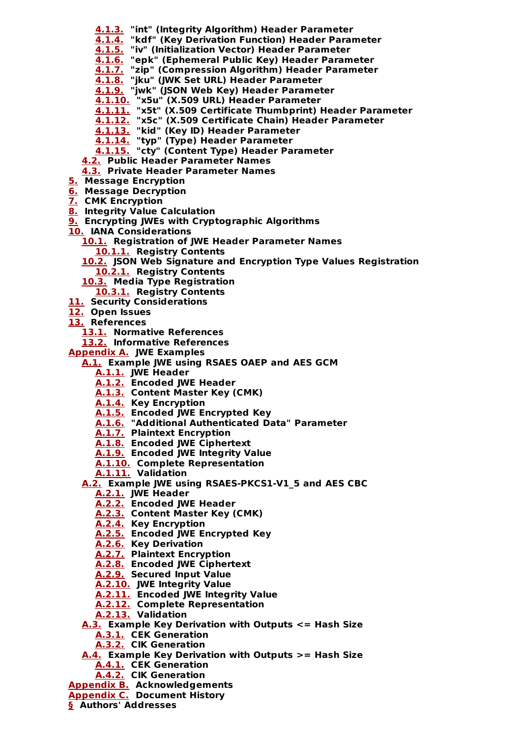- **[4.1.3.](#page-6-4) "int" (Integrity Algorithm) Header Parameter**
- **[4.1.4.](#page-7-0) "kdf" (Key Derivation Function) Header Parameter**
- **[4.1.5.](#page-7-1) "iv" (Initialization Vector) Header Parameter**
- **[4.1.6.](#page-7-2) "epk" (Ephemeral Public Key) Header Parameter**
- **[4.1.7.](#page-7-3) "zip" (Compression Algorithm) Header Parameter**
- **[4.1.8.](#page-7-4) "jku" (JWK Set URL) Header Parameter**
- **[4.1.9.](#page-8-0) "jwk" (JSON Web Key) Header Parameter**
- **[4.1.10.](#page-8-1) "x5u" (X.509 URL) Header Parameter**
- **[4.1.11.](#page-8-2) "x5t" (X.509 Certificate Thumbprint) Header Parameter**
- **[4.1.12.](#page-8-3) "x5c" (X.509 Certificate Chain) Header Parameter**
- **[4.1.13.](#page-9-0) "kid" (Key ID) Header Parameter**
- **[4.1.14.](#page-9-1) "typ" (Type) Header Parameter**
- **[4.1.15.](#page-9-2) "cty" (Content Type) Header Parameter**
- **[4.2.](#page-9-3) Public Header Parameter Names**
- **[4.3.](#page-9-4) Private Header Parameter Names**
- **[5.](#page-9-5) Message Encryption**
- **[6.](#page-10-0) Message Decryption**
- **[7.](#page-11-0) CMK Encryption**
- **[8.](#page-11-1) Integrity Value Calculation**
- **[9.](#page-12-0) Encrypting JWEs with Cryptographic Algorithms**
- **[10.](#page-12-1) IANA Considerations**
	- **[10.1.](#page-12-2) Registration of JWE Header Parameter Names**
		- **[10.1.1.](#page-12-3) Registry Contents**
	- **[10.2.](#page-13-0) JSON Web Signature and Encryption Type Values Registration [10.2.1.](#page-13-1) Registry Contents**
	- **[10.3.](#page-13-2) Media Type Registration**
	- **[10.3.1.](#page-13-3) Registry Contents**
- **[11.](#page-14-0) Security Considerations**
- **[12.](#page-14-1) Open Issues**
- **[13.](#page-14-2) References**
	- **[13.1.](#page-14-2) Normative References**
	- **[13.2.](#page-15-0) Informative References**
- **[Appendix](#page-15-1) A. JWE Examples**
	- **[A.1.](#page-15-2) Example JWE using RSAES OAEP and AES GCM**
		- **[A.1.1.](#page-15-3) JWE Header**
		- **[A.1.2.](#page-16-0) Encoded JWE Header**
		- **[A.1.3.](#page-16-1) Content Master Key (CMK)**
		- **[A.1.4.](#page-16-2) Key Encryption**
		- **[A.1.5.](#page-17-0) Encoded JWE Encrypted Key**
		- **[A.1.6.](#page-17-1) "Additional Authenticated Data" Parameter**
		- **[A.1.7.](#page-18-0) Plaintext Encryption**
		- **[A.1.8.](#page-18-1) Encoded JWE Ciphertext**
		- **[A.1.9.](#page-18-2) Encoded JWE Integrity Value**
		- **[A.1.10.](#page-18-3) Complete Representation**
		- **[A.1.11.](#page-19-0) Validation**
		- **[A.2.](#page-19-1) Example JWE using RSAES-PKCS1-V1\_5 and AES CBC**
			- **[A.2.1.](#page-19-2) JWE Header**
			- **[A.2.2.](#page-19-3) Encoded JWE Header**
			- **[A.2.3.](#page-19-4) Content Master Key (CMK)**
			- **[A.2.4.](#page-20-0) Key Encryption**
			- **[A.2.5.](#page-20-1) Encoded JWE Encrypted Key**
			- **[A.2.6.](#page-21-0) Key Derivation**
			- **[A.2.7.](#page-21-1) Plaintext Encryption**
			- **[A.2.8.](#page-21-2) Encoded JWE Ciphertext**
			- **[A.2.9.](#page-21-3) Secured Input Value**
			- **[A.2.10.](#page-22-0) JWE Integrity Value**
			- **[A.2.11.](#page-22-1) Encoded JWE Integrity Value**
			- **[A.2.12.](#page-22-2) Complete Representation**
			- **[A.2.13.](#page-23-0) Validation**
		- **[A.3.](#page-23-1) Example Key Derivation with Outputs <= Hash Size**
			- **[A.3.1.](#page-23-2) CEK Generation**
			- **[A.3.2.](#page-23-3) CIK Generation**
		- **[A.4.](#page-24-0) Example Key Derivation with Outputs >= Hash Size**
			- **[A.4.1.](#page-24-1) CEK Generation**
			- **[A.4.2.](#page-24-2) CIK Generation**
- **[Appendix](#page-25-0) B. Acknowledgements**
- **[Appendix](#page-25-1) C. Document History**
- **[§](#page-27-0) Authors' Addresses**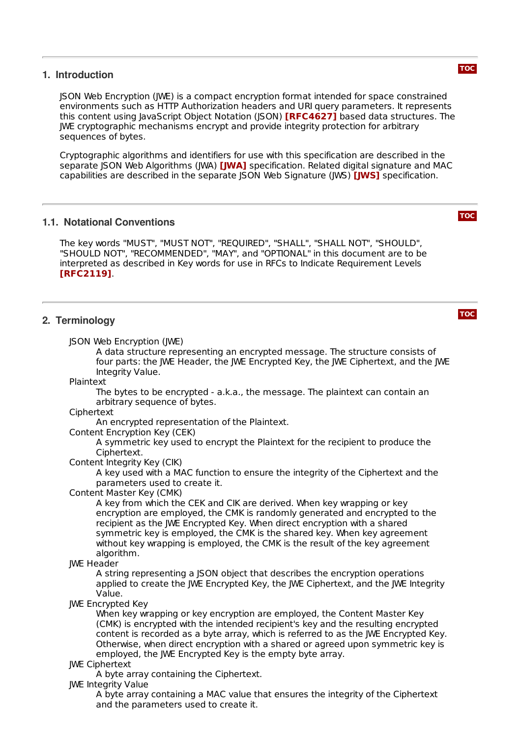#### <span id="page-2-0"></span>**1. Introduction**

JSON Web Encryption (JWE) is a compact encryption format intended for space constrained environments such as HTTP Authorization headers and URI query parameters. It represents this content using JavaScript Object Notation (JSON) **[\[RFC4627\]](#page-15-4)** based data structures. The JWE cryptographic mechanisms encrypt and provide integrity protection for arbitrary sequences of bytes.

Cryptographic algorithms and identifiers for use with this specification are described in the separate JSON Web Algorithms (JWA) **[\[JWA\]](#page-15-5)** specification. Related digital signature and MAC capabilities are described in the separate JSON Web Signature (JWS) [**JWS]** specification.

#### <span id="page-2-1"></span>**1.1. Notational Conventions**

The key words "MUST", "MUST NOT", "REQUIRED", "SHALL", "SHALL NOT", "SHOULD", "SHOULD NOT", "RECOMMENDED", "MAY", and "OPTIONAL" in this document are to be interpreted as described in Key words for use in RFCs to Indicate Requirement Levels . **[\[RFC2119\]](#page-15-7)**

#### <span id="page-2-2"></span>**2. Terminology**

JSON Web Encryption (JWE)

A data structure representing an encrypted message. The structure consists of four parts: the JWE Header, the JWE Encrypted Key, the JWE Ciphertext, and the JWE Integrity Value.

Plaintext

The bytes to be encrypted - a.k.a., the message. The plaintext can contain an arbitrary sequence of bytes.

Ciphertext

An encrypted representation of the Plaintext.

Content Encryption Key (CEK)

A symmetric key used to encrypt the Plaintext for the recipient to produce the Ciphertext.

Content Integrity Key (CIK)

A key used with a MAC function to ensure the integrity of the Ciphertext and the parameters used to create it.

Content Master Key (CMK)

A key from which the CEK and CIK are derived. When key wrapping or key encryption are employed, the CMK is randomly generated and encrypted to the recipient as the JWE Encrypted Key. When direct encryption with a shared symmetric key is employed, the CMK is the shared key. When key agreement without key wrapping is employed, the CMK is the result of the key agreement algorithm.

JWE Header

A string representing a JSON object that describes the encryption operations applied to create the JWE Encrypted Key, the JWE Ciphertext, and the JWE Integrity Value.

JWE Encrypted Key

When key wrapping or key encryption are employed, the Content Master Key (CMK) is encrypted with the intended recipient's key and the resulting encrypted content is recorded as a byte array, which is referred to as the JWE Encrypted Key. Otherwise, when direct encryption with a shared or agreed upon symmetric key is employed, the JWE Encrypted Key is the empty byte array.

JWE Ciphertext

A byte array containing the Ciphertext.

JWE Integrity Value

A byte array containing a MAC value that ensures the integrity of the Ciphertext and the parameters used to create it.

**[TOC](#page-0-0)**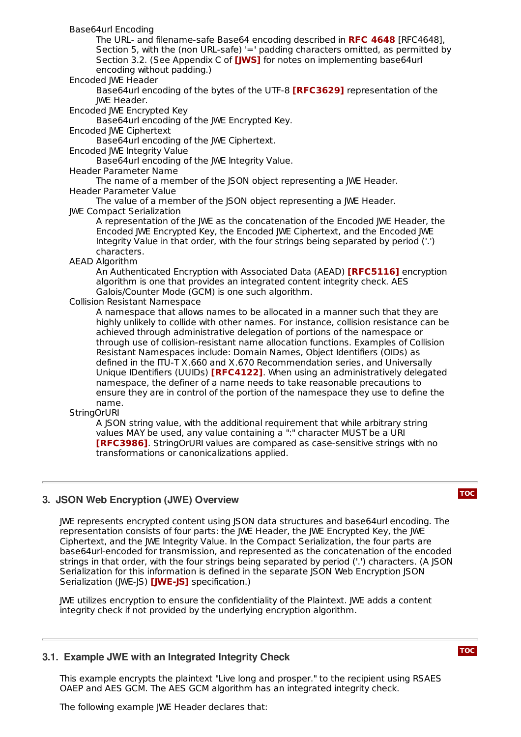Base64url Encoding

The URL- and filename-safe Base64 encoding described in [RFC4648], **RFC [4648](#page-15-8)** Section 5, with the (non URL-safe) '=' padding characters omitted, as permitted by Section 3.2. (See Appendix C of **[\[JWS\]](#page-15-6)** for notes on implementing base64url encoding without padding.)

#### Encoded JWE Header

Base64url encoding of the bytes of the UTF-8 **[\[RFC3629\]](#page-15-9)** representation of the JWE Header.

Encoded JWE Encrypted Key

Base64url encoding of the JWE Encrypted Key.

Encoded JWE Ciphertext

Base64url encoding of the JWE Ciphertext.

Encoded JWE Integrity Value

Base64url encoding of the JWE Integrity Value.

Header Parameter Name

The name of a member of the JSON object representing a JWE Header. Header Parameter Value

The value of a member of the JSON object representing a JWE Header. JWE Compact Serialization

A representation of the JWE as the concatenation of the Encoded JWE Header, the Encoded JWE Encrypted Key, the Encoded JWE Ciphertext, and the Encoded JWE Integrity Value in that order, with the four strings being separated by period ('.') characters.

AEAD Algorithm

An Authenticated Encryption with Associated Data (AEAD) [\[RFC5116\]](#page-15-10) encryption algorithm is one that provides an integrated content integrity check. AES Galois/Counter Mode (GCM) is one such algorithm.

#### Collision Resistant Namespace

A namespace that allows names to be allocated in a manner such that they are highly unlikely to collide with other names. For instance, collision resistance can be achieved through administrative delegation of portions of the namespace or through use of collision-resistant name allocation functions. Examples of Collision Resistant Namespaces include: Domain Names, Object Identifiers (OIDs) as defined in the ITU-T X.660 and X.670 Recommendation series, and Universally Unique IDentifiers (UUIDs) **[\[RFC4122\]](#page-15-11)**. When using an administratively delegated namespace, the definer of a name needs to take reasonable precautions to ensure they are in control of the portion of the namespace they use to define the name.

#### **StringOrURI**

A JSON string value, with the additional requirement that while arbitrary string values MAY be used, any value containing a ":" character MUST be a URI **[\[RFC3986\]](#page-15-12)**. StringOrURI values are compared as case-sensitive strings with no transformations or canonicalizations applied.

#### <span id="page-3-0"></span>**3. JSON Web Encryption (JWE) Overview**

#### **[TOC](#page-0-0)**

JWE represents encrypted content using JSON data structures and base64url encoding. The representation consists of four parts: the JWE Header, the JWE Encrypted Key, the JWE Ciphertext, and the JWE Integrity Value. In the Compact Serialization, the four parts are base64url-encoded for transmission, and represented as the concatenation of the encoded strings in that order, with the four strings being separated by period ('.') characters. (A JSON Serialization for this information is defined in the separate JSON Web Encryption JSON Serialization (JWE-JS) **[\[JWE](#page-15-13)-JS]** specification.)

JWE utilizes encryption to ensure the confidentiality of the Plaintext. JWE adds a content integrity check if not provided by the underlying encryption algorithm.

#### <span id="page-3-1"></span>**3.1. Example JWE with an Integrated Integrity Check**

**[TOC](#page-0-0)**

This example encrypts the plaintext "Live long and prosper." to the recipient using RSAES OAEP and AES GCM. The AES GCM algorithm has an integrated integrity check.

The following example JWE Header declares that: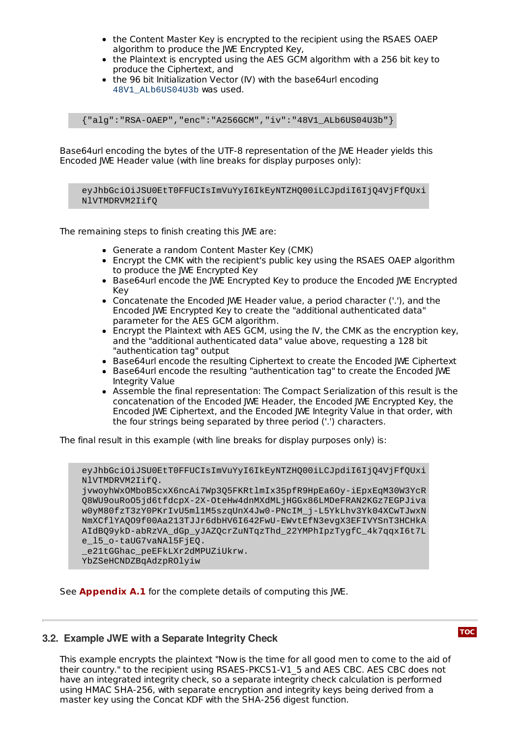- the Content Master Key is encrypted to the recipient using the RSAES OAEP algorithm to produce the IWE Encrypted Key,
- the Plaintext is encrypted using the AES GCM algorithm with a 256 bit key to produce the Ciphertext, and
- the 96 bit Initialization Vector (IV) with the base64url encoding 48V1\_ALb6US04U3b was used.

{"alg":"RSA-OAEP","enc":"A256GCM","iv":"48V1\_ALb6US04U3b"}

Base64url encoding the bytes of the UTF-8 representation of the JWE Header yields this Encoded JWE Header value (with line breaks for display purposes only):

eyJhbGciOiJSU0EtT0FFUCIsImVuYyI6IkEyNTZH000iLCJpdiI6IjO4VjFfOUxi NlVTMDRVM2IifQ

The remaining steps to finish creating this JWE are:

- Generate a random Content Master Key (CMK)
- Encrypt the CMK with the recipient's public key using the RSAES OAEP algorithm to produce the JWE Encrypted Key
- **Base64url encode the JWE Encrypted Key to produce the Encoded JWE Encrypted** Key
- Concatenate the Encoded JWE Header value, a period character ('.'), and the Encoded JWE Encrypted Key to create the "additional authenticated data" parameter for the AES GCM algorithm.
- $\bullet$  Encrypt the Plaintext with AES GCM, using the IV, the CMK as the encryption key, and the "additional authenticated data" value above, requesting a 128 bit "authentication tag" output
- Base64url encode the resulting Ciphertext to create the Encoded IWE Ciphertext
- Base64url encode the resulting "authentication tag" to create the Encoded IWE Integrity Value
- Assemble the final representation: The Compact Serialization of this result is the concatenation of the Encoded JWE Header, the Encoded JWE Encrypted Key, the Encoded JWE Ciphertext, and the Encoded JWE Integrity Value in that order, with the four strings being separated by three period ('.') characters.

The final result in this example (with line breaks for display purposes only) is:

```
eyJhbGciOiJSU0EtT0FFUCIsImVuYyI6IkEyNTZHQ00iLCJpdiI6IjQ4VjFfQUxi
NlVTMDRVM2IifQ.
```
jvwoyhWxOMboB5cxX6ncAi7Wp3Q5FKRtlmIx35pfR9HpEa6Oy-iEpxEqM30W3YcR Q8WU9ouRoO5jd6tfdcpX-2X-OteHw4dnMXdMLjHGGx86LMDeFRAN2KGz7EGPJiva w0yM80fzT3zY0PKrIvU5ml1M5szqUnX4Jw0-PNcIM\_j-L5YkLhv3Yk04XCwTJwxN NmXCflYAQO9f00Aa213TJJr6dbHV6I642FwU-EWvtEfN3evgX3EFIVYSnT3HCHkA AIdBQ9ykD-abRzVA\_dGp\_yJAZQcrZuNTqzThd\_22YMPhIpzTygfC\_4k7qqxI6t7L e\_l5\_o-taUG7vaNAl5FjEQ. e21tGGhac\_peEFkLXr2dMPUZiUkrw. YbZSeHCNDZBqAdzpROlyiw

<span id="page-4-0"></span>See **[Appendix](#page-15-2) A.1** for the complete details of computing this JWE.

#### **3.2. Example JWE with a Separate Integrity Check**

This example encrypts the plaintext "Now is the time for all good men to come to the aid of their country." to the recipient using RSAES-PKCS1-V1\_5 and AES CBC. AES CBC does not have an integrated integrity check, so a separate integrity check calculation is performed using HMAC SHA-256, with separate encryption and integrity keys being derived from a master key using the Concat KDF with the SHA-256 digest function.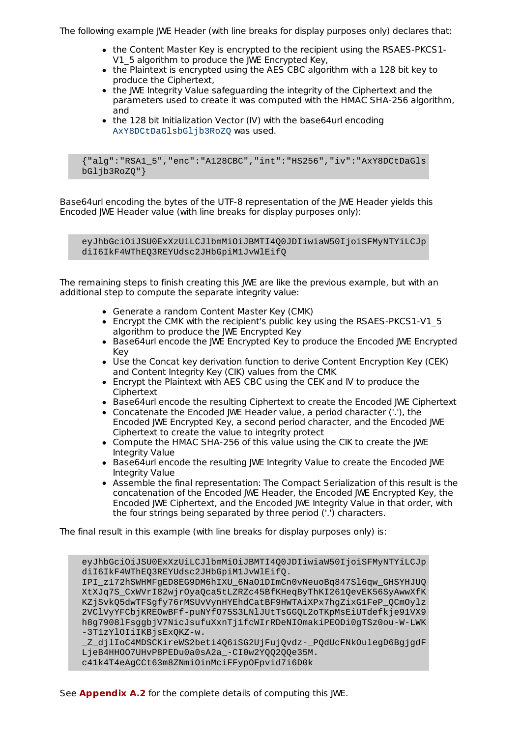The following example JWE Header (with line breaks for display purposes only) declares that:

- the Content Master Key is encrypted to the recipient using the RSAES-PKCS1-V1\_5 algorithm to produce the JWE Encrypted Key,
- the Plaintext is encrypted using the AES CBC algorithm with a 128 bit key to produce the Ciphertext,
- the JWE Integrity Value safeguarding the integrity of the Ciphertext and the parameters used to create it was computed with the HMAC SHA-256 algorithm, and
- the 128 bit Initialization Vector (IV) with the base64url encoding AxY8DCtDaGlsbGljb3RoZQ was used.

{"alg":"RSA1\_5","enc":"A128CBC","int":"HS256","iv":"AxY8DCtDaGls bGljb3RoZQ"}

Base64url encoding the bytes of the UTF-8 representation of the JWE Header yields this Encoded JWE Header value (with line breaks for display purposes only):

eyJhbGciOiJSU0ExXzUiLCJlbmMiOiJBMTI4Q0JDIiwiaW50IjoiSFMyNTYiLCJp diI6IkF4WThEQ3REYUdsc2JHbGpiM1JvWlEifQ

The remaining steps to finish creating this JWE are like the previous example, but with an additional step to compute the separate integrity value:

- Generate a random Content Master Key (CMK)
- Encrypt the CMK with the recipient's public key using the RSAES-PKCS1-V1\_5 algorithm to produce the IWE Encrypted Key
- **Base64url encode the JWE Encrypted Key to produce the Encoded JWE Encrypted** Key
- Use the Concat key derivation function to derive Content Encryption Key (CEK) and Content Integrity Key (CIK) values from the CMK
- Encrypt the Plaintext with AES CBC using the CEK and IV to produce the **Ciphertext**
- **Base64url encode the resulting Ciphertext to create the Encoded JWE Ciphertext**
- Concatenate the Encoded JWE Header value, a period character ('.'), the Encoded JWE Encrypted Key, a second period character, and the Encoded JWE Ciphertext to create the value to integrity protect
- Compute the HMAC SHA-256 of this value using the CIK to create the JWE Integrity Value
- **Base64url encode the resulting JWE Integrity Value to create the Encoded JWE** Integrity Value
- Assemble the final representation: The Compact Serialization of this result is the concatenation of the Encoded JWE Header, the Encoded JWE Encrypted Key, the Encoded JWE Ciphertext, and the Encoded JWE Integrity Value in that order, with the four strings being separated by three period ('.') characters.

The final result in this example (with line breaks for display purposes only) is:

eyJhbGciOiJSU0ExXzUiLCJlbmMiOiJBMTI4Q0JDIiwiaW50IjoiSFMyNTYiLCJp diI6IkF4WThEQ3REYUdsc2JHbGpiM1JvWlEifQ. IPI\_z172hSWHMFgED8EG9DM6hIXU\_6NaO1DImCn0vNeuoBq847Sl6qw\_GHSYHJUQ XtXJq7S\_CxWVrI82wjrOyaQca5tLZRZc45BfKHeqByThKI261QevEK56SyAwwXfK KZjSvk05dwTFSqfy76rMSUvVynHYEhdCatBF9HWTAiXPx7hqZixG1FeP\_0CmOylz 2VClVyYFCbjKREOwBFf-puNYfO75S3LNlJUtTsGGQL2oTKpMsEiUTdefkje91VX9 h8g7908lFsggbjV7NicJsufuXxnTj1fcWIrRDeNIOmakiPEODi0gTSz0ou-W-LWK

```
-3T1zYlOIiIKBjsExQKZ-w.
```
\_Z\_djlIoC4MDSCKireWS2beti4Q6iSG2UjFujQvdz-\_PQdUcFNkOulegD6BgjgdF LjeB4HHOO7UHvP8PEDu0a0sA2a\_-CI0w2YQQ2QQe35M.

c41k4T4eAgCCt63m8ZNmiOinMciFFypOFpvid7i6D0k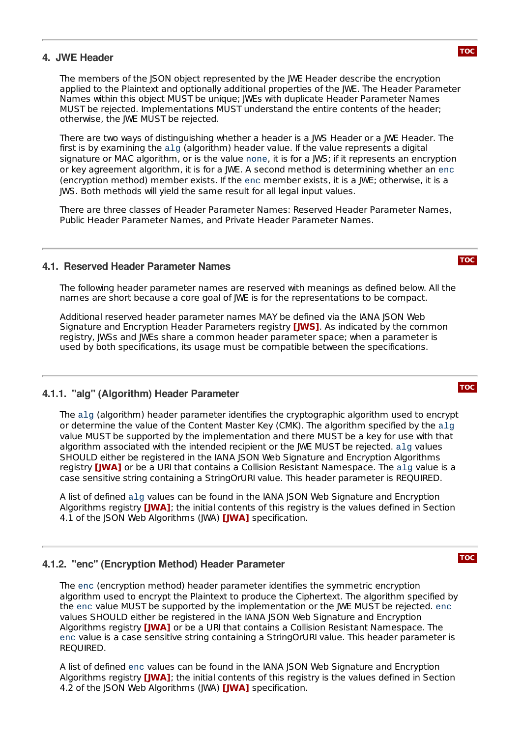#### <span id="page-6-0"></span>**4. JWE Header**

The members of the JSON object represented by the JWE Header describe the encryption applied to the Plaintext and optionally additional properties of the JWE. The Header Parameter Names within this object MUST be unique; JWEs with duplicate Header Parameter Names MUST be rejected. Implementations MUST understand the entire contents of the header; otherwise, the JWE MUST be rejected.

There are two ways of distinguishing whether a header is a JWS Header or a JWE Header. The first is by examining the alg (algorithm) header value. If the value represents a digital signature or MAC algorithm, or is the value none, it is for a JWS; if it represents an encryption or key agreement algorithm, it is for a JWE. A second method is determining whether an enc (encryption method) member exists. If the enc member exists, it is a JWE; otherwise, it is a JWS. Both methods will yield the same result for all legal input values.

There are three classes of Header Parameter Names: Reserved Header Parameter Names, Public Header Parameter Names, and Private Header Parameter Names.

#### <span id="page-6-1"></span>**4.1. Reserved Header Parameter Names**

The following header parameter names are reserved with meanings as defined below. All the names are short because a core goal of JWE is for the representations to be compact.

Additional reserved header parameter names MAY be defined via the IANA JSON Web Signature and Encryption Header Parameters registry **[\[JWS\]](#page-15-6)**. As indicated by the common registry, JWSs and JWEs share a common header parameter space; when a parameter is used by both specifications, its usage must be compatible between the specifications.

#### <span id="page-6-2"></span>**4.1.1. "alg" (Algorithm) Header Parameter**

The alg (algorithm) header parameter identifies the cryptographic algorithm used to encrypt or determine the value of the Content Master Key (CMK). The algorithm specified by the alg value MUST be supported by the implementation and there MUST be a key for use with that algorithm associated with the intended recipient or the JWE MUST be rejected. alg values SHOULD either be registered in the IANA JSON Web Signature and Encryption Algorithms registry [\[JWA\]](#page-15-5) or be a URI that contains a Collision Resistant Namespace. The alg value is a case sensitive string containing a StringOrURI value. This header parameter is REQUIRED.

A list of defined alg values can be found in the IANA JSON Web Signature and Encryption Algorithms registry **[\[JWA\]](#page-15-5)**; the initial contents of this registry is the values defined in Section 4.1 of the JSON Web Algorithms (JWA) **[\[JWA\]](#page-15-5)** specification.

#### <span id="page-6-3"></span>**4.1.2. "enc" (Encryption Method) Header Parameter**

The enc (encryption method) header parameter identifies the symmetric encryption algorithm used to encrypt the Plaintext to produce the Ciphertext. The algorithm specified by the enc value MUST be supported by the implementation or the JWE MUST be rejected. enc values SHOULD either be registered in the IANA JSON Web Signature and Encryption Algorithms registry **[\[JWA\]](#page-15-5)** or be a URI that contains a Collision Resistant Namespace. The enc value is a case sensitive string containing a StringOrURI value. This header parameter is REQUIRED.

<span id="page-6-4"></span>A list of defined enc values can be found in the IANA JSON Web Signature and Encryption Algorithms registry **[\[JWA\]](#page-15-5)**; the initial contents of this registry is the values defined in Section 4.2 of the JSON Web Algorithms (JWA) **[\[JWA\]](#page-15-5)** specification.



#### **[TOC](#page-0-0)**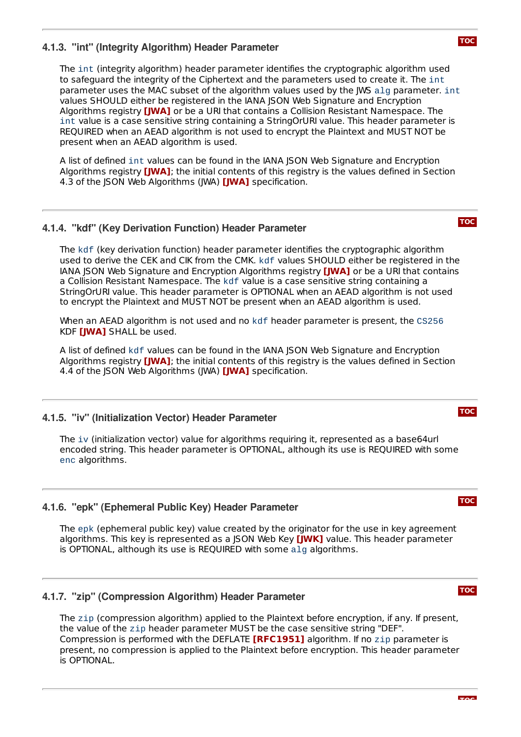### **4.1.3. "int" (Integrity Algorithm) Header Parameter**

The int (integrity algorithm) header parameter identifies the cryptographic algorithm used to safeguard the integrity of the Ciphertext and the parameters used to create it. The int parameter uses the MAC subset of the algorithm values used by the JWS alg parameter. int values SHOULD either be registered in the IANA JSON Web Signature and Encryption Algorithms registry **[\[JWA\]](#page-15-5)** or be a URI that contains a Collision Resistant Namespace. The int value is a case sensitive string containing a StringOrURI value. This header parameter is REQUIRED when an AEAD algorithm is not used to encrypt the Plaintext and MUST NOT be present when an AEAD algorithm is used.

A list of defined int values can be found in the IANA JSON Web Signature and Encryption Algorithms registry **[\[JWA\]](#page-15-5)**; the initial contents of this registry is the values defined in Section 4.3 of the JSON Web Algorithms (JWA) **[\[JWA\]](#page-15-5)** specification.

#### <span id="page-7-0"></span>**4.1.4. "kdf" (Key Derivation Function) Header Parameter**

The kdf (key derivation function) header parameter identifies the cryptographic algorithm used to derive the CEK and CIK from the CMK. kdf values SHOULD either be registered in the IANA JSON Web Signature and Encryption Algorithms registry **[\[JWA\]](#page-15-5)** or be a URI that contains a Collision Resistant Namespace. The kdf value is a case sensitive string containing a StringOrURI value. This header parameter is OPTIONAL when an AEAD algorithm is not used to encrypt the Plaintext and MUST NOT be present when an AEAD algorithm is used.

When an AEAD algorithm is not used and no kdf header parameter is present, the CS256 KDF **[\[JWA\]](#page-15-5)** SHALL be used.

A list of defined kdf values can be found in the IANA JSON Web Signature and Encryption Algorithms registry **[\[JWA\]](#page-15-5)**; the initial contents of this registry is the values defined in Section 4.4 of the JSON Web Algorithms (JWA) **[\[JWA\]](#page-15-5)** specification.

#### <span id="page-7-1"></span>**4.1.5. "iv" (Initialization Vector) Header Parameter**

The iv (initialization vector) value for algorithms requiring it, represented as a base64url encoded string. This header parameter is OPTIONAL, although its use is REQUIRED with some enc algorithms.

#### <span id="page-7-2"></span>**4.1.6. "epk" (Ephemeral Public Key) Header Parameter**

The epk (ephemeral public key) value created by the originator for the use in key agreement algorithms. This key is represented as a JSON Web Key **[\[JWK\]](#page-15-14)** value. This header parameter is OPTIONAL, although its use is REQUIRED with some alg algorithms.

#### <span id="page-7-3"></span>**4.1.7. "zip" (Compression Algorithm) Header Parameter**

<span id="page-7-4"></span>The zip (compression algorithm) applied to the Plaintext before encryption, if any. If present, the value of the zip header parameter MUST be the case sensitive string "DEF". Compression is performed with the DEFLATE **[\[RFC1951\]](#page-15-15)** algorithm. If no zip parameter is present, no compression is applied to the Plaintext before encryption. This header parameter is OPTIONAL.

#### **[TOC](#page-0-0)**

#### **[TOC](#page-0-0)**

**[TOC](#page-0-0)**

# **[TOC](#page-0-0)**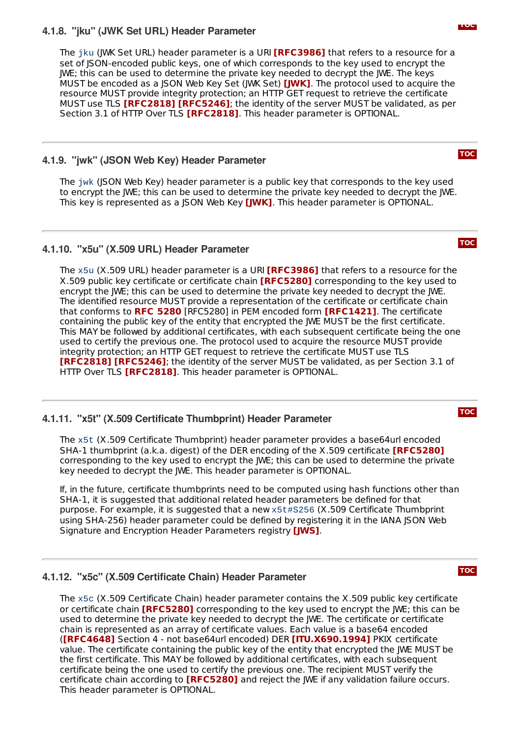#### **4.1.8. "jku" (JWK Set URL) Header Parameter**

The jku (JWK Set URL) header parameter is a URI **[\[RFC3986\]](#page-15-12)** that refers to a resource for a set of JSON-encoded public keys, one of which corresponds to the key used to encrypt the JWE; this can be used to determine the private key needed to decrypt the JWE. The keys MUST be encoded as a JSON Web Key Set (JWK Set) **[\[JWK\]](#page-15-14)**. The protocol used to acquire the resource MUST provide integrity protection; an HTTP GET request to retrieve the certificate <code>MUST</code> use TLS <code>[\[RFC2818\]](#page-15-16) [\[RFC5246\]](#page-15-17)</code>; the identity of the server MUST be validated, as per Section 3.1 of HTTP Over TLS **[\[RFC2818\]](#page-15-16)**. This header parameter is OPTIONAL.

#### <span id="page-8-0"></span>**4.1.9. "jwk" (JSON Web Key) Header Parameter**

The jwk (JSON Web Key) header parameter is a public key that corresponds to the key used to encrypt the JWE; this can be used to determine the private key needed to decrypt the JWE. This key is represented as a JSON Web Key **[\[JWK\]](#page-15-14)**. This header parameter is OPTIONAL.

#### <span id="page-8-1"></span>**4.1.10. "x5u" (X.509 URL) Header Parameter**

The x5u (X.509 URL) header parameter is a URI **[\[RFC3986\]](#page-15-12)** that refers to a resource for the X.509 public key certificate or certificate chain **[\[RFC5280\]](#page-15-18)** corresponding to the key used to encrypt the JWE; this can be used to determine the private key needed to decrypt the JWE. The identified resource MUST provide a representation of the certificate or certificate chain that conforms to RFC [5280](#page-15-18) [RFC5280] in PEM encoded form **[\[RFC1421\]](#page-15-19)**. The certificate containing the public key of the entity that encrypted the JWE MUST be the first certificate. This MAY be followed by additional certificates, with each subsequent certificate being the one used to certify the previous one. The protocol used to acquire the resource MUST provide integrity protection; an HTTP GET request to retrieve the certificate MUST use TLS **[\[RFC2818\]](#page-15-16) [\[RFC5246\]](#page-15-17)**; the identity of the server MUST be validated, as per Section 3.1 of HTTP Over TLS **[\[RFC2818\]](#page-15-16)**. This header parameter is OPTIONAL.

#### <span id="page-8-2"></span>**4.1.11. "x5t" (X.509 Certificate Thumbprint) Header Parameter**

The x5t (X.509 Certificate Thumbprint) header parameter provides a base64url encoded SHA-1 thumbprint (a.k.a. digest) of the DER encoding of the X.509 certificate **[\[RFC5280\]](#page-15-18)** corresponding to the key used to encrypt the JWE; this can be used to determine the private key needed to decrypt the JWE. This header parameter is OPTIONAL.

If, in the future, certificate thumbprints need to be computed using hash functions other than SHA-1, it is suggested that additional related header parameters be defined for that purpose. For example, it is suggested that a new x5t#S256 (X.509 Certificate Thumbprint using SHA-256) header parameter could be defined by registering it in the IANA JSON Web Signature and Encryption Header Parameters registry **[\[JWS\]](#page-15-6)**.

#### <span id="page-8-3"></span>**4.1.12. "x5c" (X.509 Certificate Chain) Header Parameter**

The x5c (X.509 Certificate Chain) header parameter contains the X.509 public key certificate or certificate chain **[\[RFC5280\]](#page-15-18)** corresponding to the key used to encrypt the JWE; this can be used to determine the private key needed to decrypt the JWE. The certificate or certificate chain is represented as an array of certificate values. Each value is a base64 encoded **([\[RFC4648\]](#page-15-8)** Section 4 - not base64url encoded) DER **[\[ITU.X690.1994\]](#page-14-3)** PKIX certificate value. The certificate containing the public key of the entity that encrypted the JWE MUST be the first certificate. This MAY be followed by additional certificates, with each subsequent certificate being the one used to certify the previous one. The recipient MUST verify the certificate chain according to **[\[RFC5280\]](#page-15-18)** and reject the JWE if any validation failure occurs. This header parameter is OPTIONAL.

**[TOC](#page-0-0)**

# **[TOC](#page-0-0)**

**[TOC](#page-0-0)**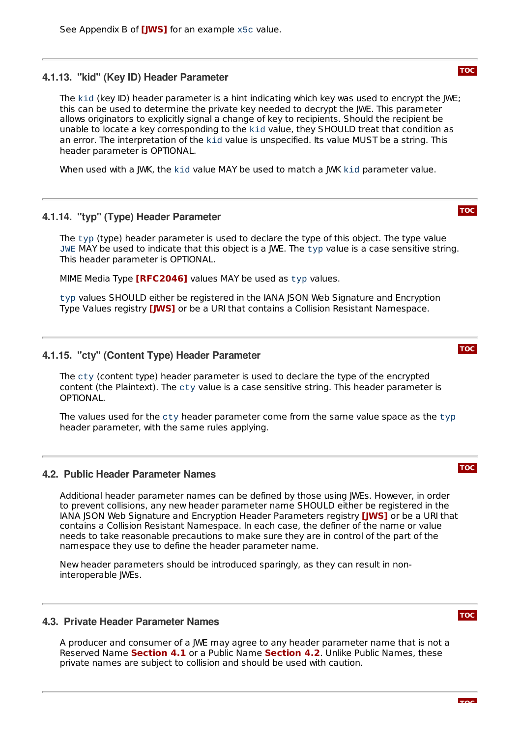# <span id="page-9-0"></span>**4.1.13. "kid" (Key ID) Header Parameter**

The kid (key ID) header parameter is a hint indicating which key was used to encrypt the JWE; this can be used to determine the private key needed to decrypt the JWE. This parameter allows originators to explicitly signal a change of key to recipients. Should the recipient be unable to locate a key corresponding to the kid value, they SHOULD treat that condition as an error. The interpretation of the kid value is unspecified. Its value MUST be a string. This header parameter is OPTIONAL.

<span id="page-9-1"></span>When used with a JWK, the kid value MAY be used to match a JWK kid parameter value.

# **4.1.14. "typ" (Type) Header Parameter**

The typ (type) header parameter is used to declare the type of this object. The type value JWE MAY be used to indicate that this object is a JWE. The typ value is a case sensitive string. This header parameter is OPTIONAL.

MIME Media Type [\[RFC2046\]](#page-15-20) values MAY be used as typ values.

typ values SHOULD either be registered in the IANA JSON Web Signature and Encryption Type Values registry **[\[JWS\]](#page-15-6)** or be a URI that contains a Collision Resistant Namespace.

# <span id="page-9-2"></span>**4.1.15. "cty" (Content Type) Header Parameter**

The cty (content type) header parameter is used to declare the type of the encrypted content (the Plaintext). The cty value is a case sensitive string. This header parameter is OPTIONAL.

The values used for the cty header parameter come from the same value space as the typ header parameter, with the same rules applying.

# <span id="page-9-3"></span>**4.2. Public Header Parameter Names**

Additional header parameter names can be defined by those using JWEs. However, in order to prevent collisions, any new header parameter name SHOULD either be registered in the IANA JSON Web Signature and Encryption Header Parameters registry **[\[JWS\]](#page-15-6)** or be a URI that contains a Collision Resistant Namespace. In each case, the definer of the name or value needs to take reasonable precautions to make sure they are in control of the part of the namespace they use to define the header parameter name.

New header parameters should be introduced sparingly, as they can result in noninteroperable JWEs.

# <span id="page-9-4"></span>**4.3. Private Header Parameter Names**

<span id="page-9-5"></span>A producer and consumer of a JWE may agree to any header parameter name that is not a **Reserved Name [Section](#page-9-3) 4.1** or a Public Name Section 4.2. Unlike Public Names, these private names are subject to collision and should be used with caution.

#### **[TOC](#page-0-0)**

**[TOC](#page-0-0)**



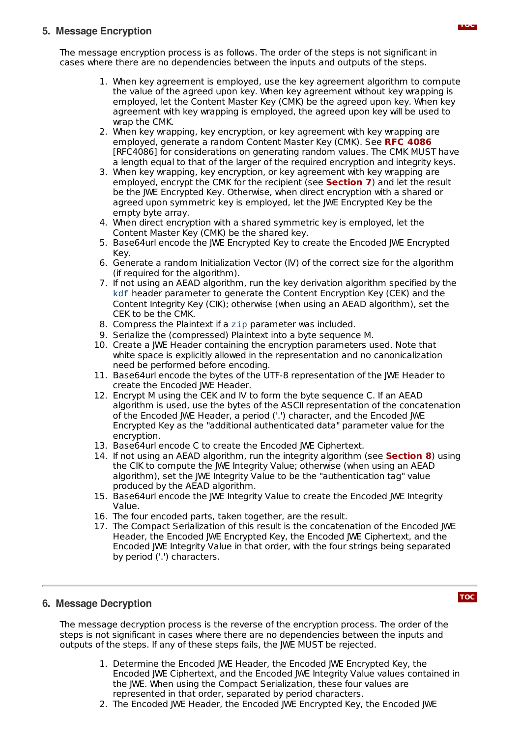### **5. Message Encryption**

The message encryption process is as follows. The order of the steps is not significant in cases where there are no dependencies between the inputs and outputs of the steps.

- 1. When key agreement is employed, use the key agreement algorithm to compute the value of the agreed upon key. When key agreement without key wrapping is employed, let the Content Master Key (CMK) be the agreed upon key. When key agreement with key wrapping is employed, the agreed upon key will be used to wrap the CMK.
- 2. When key wrapping, key encryption, or key agreement with key wrapping are employed, generate a random Content Master Key (CMK). See **RFC [4086](#page-15-21)** [RFC4086] for considerations on generating random values. The CMK MUST have a length equal to that of the larger of the required encryption and integrity keys.
- 3. When key wrapping, key encryption, or key agreement with key wrapping are employed, encrypt the CMK for the recipient (see **[Section](#page-11-0) 7**) and let the result be the JWE Encrypted Key. Otherwise, when direct encryption with a shared or agreed upon symmetric key is employed, let the JWE Encrypted Key be the empty byte array.
- 4. When direct encryption with a shared symmetric key is employed, let the Content Master Key (CMK) be the shared key.
- 5. Base64url encode the JWE Encrypted Key to create the Encoded JWE Encrypted Key.
- 6. Generate a random Initialization Vector (IV) of the correct size for the algorithm (if required for the algorithm).
- 7. If not using an AEAD algorithm, run the key derivation algorithm specified by the kdf header parameter to generate the Content Encryption Key (CEK) and the Content Integrity Key (CIK); otherwise (when using an AEAD algorithm), set the CEK to be the CMK.
- 8. Compress the Plaintext if a zip parameter was included.
- 9. Serialize the (compressed) Plaintext into a byte sequence M.
- 10. Create a JWE Header containing the encryption parameters used. Note that white space is explicitly allowed in the representation and no canonicalization need be performed before encoding.
- 11. Base64url encode the bytes of the UTF-8 representation of the JWE Header to create the Encoded JWE Header.
- 12. Encrypt M using the CEK and IV to form the byte sequence C. If an AEAD algorithm is used, use the bytes of the ASCII representation of the concatenation of the Encoded JWE Header, a period ('.') character, and the Encoded JWE Encrypted Key as the "additional authenticated data" parameter value for the encryption.
- 13. Base64url encode C to create the Encoded JWE Ciphertext.
- 14. If not using an AEAD algorithm, run the integrity algorithm (see **[Section](#page-11-1) 8**) using the CIK to compute the JWE Integrity Value; otherwise (when using an AEAD algorithm), set the JWE Integrity Value to be the "authentication tag" value produced by the AEAD algorithm.
- 15. Base64url encode the JWE Integrity Value to create the Encoded JWE Integrity Value.
- 16. The four encoded parts, taken together, are the result.
- 17. The Compact Serialization of this result is the concatenation of the Encoded JWE Header, the Encoded JWE Encrypted Key, the Encoded JWE Ciphertext, and the Encoded JWE Integrity Value in that order, with the four strings being separated by period ('.') characters.

#### <span id="page-10-0"></span>**6. Message Decryption**

**[TOC](#page-0-0)**

The message decryption process is the reverse of the encryption process. The order of the steps is not significant in cases where there are no dependencies between the inputs and outputs of the steps. If any of these steps fails, the JWE MUST be rejected.

- 1. Determine the Encoded JWE Header, the Encoded JWE Encrypted Key, the Encoded JWE Ciphertext, and the Encoded JWE Integrity Value values contained in the JWE. When using the Compact Serialization, these four values are represented in that order, separated by period characters.
- 2. The Encoded JWE Header, the Encoded JWE Encrypted Key, the Encoded JWE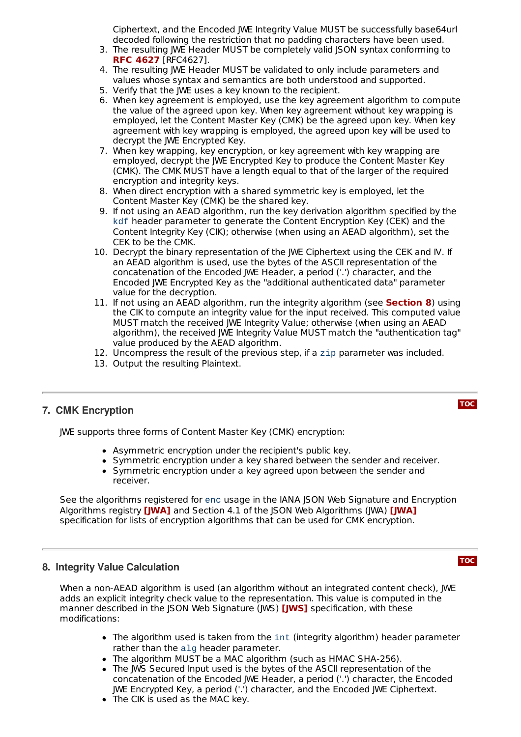Ciphertext, and the Encoded JWE Integrity Value MUST be successfully base64url decoded following the restriction that no padding characters have been used.

- 3. The resulting JWE Header MUST be completely valid JSON syntax conforming to [RFC4627]. **RFC [4627](#page-15-4)**
- 4. The resulting JWE Header MUST be validated to only include parameters and values whose syntax and semantics are both understood and supported.
- 5. Verify that the JWE uses a key known to the recipient.
- 6. When key agreement is employed, use the key agreement algorithm to compute the value of the agreed upon key. When key agreement without key wrapping is employed, let the Content Master Key (CMK) be the agreed upon key. When key agreement with key wrapping is employed, the agreed upon key will be used to decrypt the JWE Encrypted Key.
- 7. When key wrapping, key encryption, or key agreement with key wrapping are employed, decrypt the JWE Encrypted Key to produce the Content Master Key (CMK). The CMK MUST have a length equal to that of the larger of the required encryption and integrity keys.
- 8. When direct encryption with a shared symmetric key is employed, let the Content Master Key (CMK) be the shared key.
- 9. If not using an AEAD algorithm, run the key derivation algorithm specified by the kdf header parameter to generate the Content Encryption Key (CEK) and the Content Integrity Key (CIK); otherwise (when using an AEAD algorithm), set the CEK to be the CMK.
- 10. Decrypt the binary representation of the JWE Ciphertext using the CEK and IV. If an AEAD algorithm is used, use the bytes of the ASCII representation of the concatenation of the Encoded JWE Header, a period ('.') character, and the Encoded JWE Encrypted Key as the "additional authenticated data" parameter value for the decryption.
- 11. If not using an AEAD algorithm, run the integrity algorithm (see **[Section](#page-11-1) 8**) using the CIK to compute an integrity value for the input received. This computed value MUST match the received JWE Integrity Value; otherwise (when using an AEAD algorithm), the received JWE Integrity Value MUST match the "authentication tag" value produced by the AEAD algorithm.
- 12. Uncompress the result of the previous step, if a zip parameter was included.
- 13. Output the resulting Plaintext.

#### <span id="page-11-0"></span>**7. CMK Encryption**

JWE supports three forms of Content Master Key (CMK) encryption:

- Asymmetric encryption under the recipient's public key.
- Symmetric encryption under a key shared between the sender and receiver.
- Symmetric encryption under a key agreed upon between the sender and receiver.

See the algorithms registered for enc usage in the IANA JSON Web Signature and Encryption Algorithms registry **[\[JWA\]](#page-15-5)** and Section 4.1 of the JSON Web Algorithms (JWA) **[JWA]** specification for lists of encryption algorithms that can be used for CMK encryption.

#### <span id="page-11-1"></span>**8. Integrity Value Calculation**

When a non-AEAD algorithm is used (an algorithm without an integrated content check), JWE adds an explicit integrity check value to the representation. This value is computed in the manner described in the JSON Web Signature (JWS) **[\[JWS\]](#page-15-6)** specification, with these modifications:

- The algorithm used is taken from the int (integrity algorithm) header parameter rather than the alg header parameter.
- The algorithm MUST be a MAC algorithm (such as HMAC SHA-256).
- The JWS Secured Input used is the bytes of the ASCII representation of the concatenation of the Encoded JWE Header, a period ('.') character, the Encoded JWE Encrypted Key, a period ('.') character, and the Encoded JWE Ciphertext.
- The CIK is used as the MAC key.

#### **[TOC](#page-0-0)**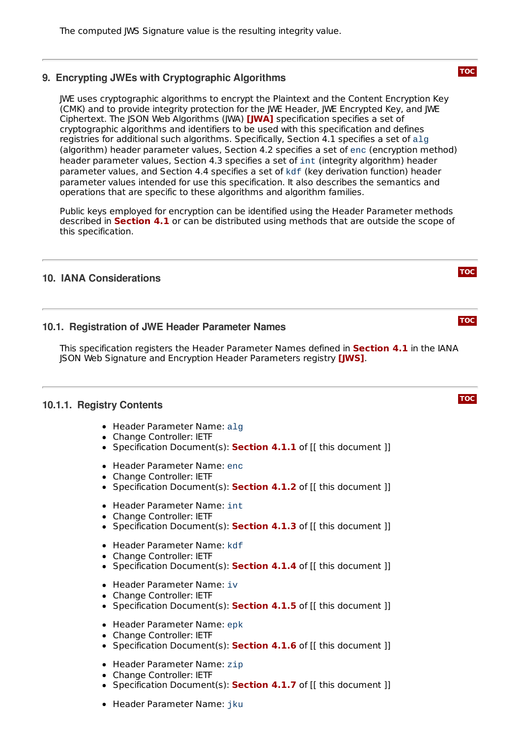#### <span id="page-12-0"></span>**9. Encrypting JWEs with Cryptographic Algorithms**

JWE uses cryptographic algorithms to encrypt the Plaintext and the Content Encryption Key (CMK) and to provide integrity protection for the JWE Header, JWE Encrypted Key, and JWE Ciphertext. The JSON Web Algorithms (JWA) **[\[JWA\]](#page-15-5)** specification specifies a set of cryptographic algorithms and identifiers to be used with this specification and defines registries for additional such algorithms. Specifically, Section 4.1 specifies a set of alg (algorithm) header parameter values, Section 4.2 specifies a set of enc (encryption method) header parameter values, Section 4.3 specifies a set of int (integrity algorithm) header parameter values, and Section 4.4 specifies a set of kdf (key derivation function) header parameter values intended for use this specification. It also describes the semantics and operations that are specific to these algorithms and algorithm families.

Public keys employed for encryption can be identified using the Header Parameter methods described in **[Section](#page-6-1) 4.1** or can be distributed using methods that are outside the scope of this specification.

#### <span id="page-12-2"></span><span id="page-12-1"></span>**10. IANA Considerations**

#### **10.1. Registration of JWE Header Parameter Names**

This specification registers the Header Parameter Names defined in **[Section](#page-6-1) 4.1** in the IANA **JSON Web Signature and Encryption Header Parameters registry** *[\[JWS\]](#page-15-6)***.** 

#### <span id="page-12-3"></span>**10.1.1. Registry Contents**

- Header Parameter Name: alg
- Change Controller: IETF
- Specification Document(s): **[Section](#page-6-2) 4.1.1** of [[ this document ]]
- Header Parameter Name: enc
- Change Controller: IETF
- Specification Document(s): **[Section](#page-6-3) 4.1.2** of [[ this document ]]
- Header Parameter Name: int
- Change Controller: IETF
- Specification Document(s): **[Section](#page-6-4) 4.1.3** of [[ this document ]]
- Header Parameter Name: kdf
- Change Controller: IETF  $\bullet$
- Specification Document(s): **[Section](#page-7-0) 4.1.4** of [[ this document ]]
- Header Parameter Name: iv
- Change Controller: IETF
- Specification Document(s): **[Section](#page-7-1) 4.1.5** of [[ this document ]]  $\bullet$
- Header Parameter Name: epk
- Change Controller: IETF
- Specification Document(s): **[Section](#page-7-2) 4.1.6** of [[ this document ]]
- Header Parameter Name: zip
- Change Controller: IETF
- Specification Document(s): **[Section](#page-7-3) 4.1.7** of [[ this document ]]
- Header Parameter Name: jku

**[TOC](#page-0-0)**

**[TOC](#page-0-0)**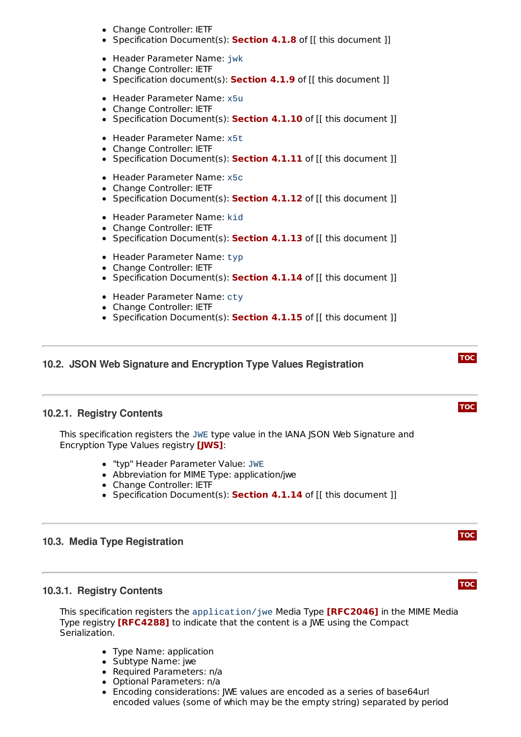- Change Controller: IETF
- Specification Document(s): **[Section](#page-7-4) 4.1.8** of [[ this document ]]
- Header Parameter Name: jwk
- Change Controller: IETF
- Specification document(s): **[Section](#page-8-0) 4.1.9** of [[ this document ]]
- Header Parameter Name: x5u
- Change Controller: IETF
- Specification Document(s): **[Section](#page-8-1) 4.1.10** of [[ this document ]]
- Header Parameter Name: x5t
- Change Controller: IETF
- Specification Document(s): **[Section](#page-8-2) 4.1.11** of [[ this document ]]
- Header Parameter Name: x5c
- Change Controller: IETF
- Specification Document(s): **[Section](#page-8-3) 4.1.12** of [[ this document ]]
- Header Parameter Name: kid
- Change Controller: IETF
- Specification Document(s): **[Section](#page-9-0) 4.1.13** of [[ this document ]]
- Header Parameter Name: typ
- Change Controller: IETF
- Specification Document(s): **[Section](#page-9-1) 4.1.14** of [[ this document ]]
- Header Parameter Name: cty
- Change Controller: IETF
- Specification Document(s): **[Section](#page-9-2) 4.1.15** of [[ this document ]]

#### <span id="page-13-1"></span><span id="page-13-0"></span>**10.2. JSON Web Signature and Encryption Type Values Registration**

#### **10.2.1. Registry Contents**

This specification registers the JWE type value in the IANA JSON Web Signature and Encryption Type Values registry *[\[JWS\]](#page-15-6)*:

- "typ" Header Parameter Value: JWE
- Abbreviation for MIME Type: application/jwe
- Change Controller: IETF
- Specification Document(s): **[Section](#page-9-1) 4.1.14** of [[ this document ]]

#### <span id="page-13-3"></span><span id="page-13-2"></span>**10.3. Media Type Registration**

#### **10.3.1. Registry Contents**

This specification registers the  $\text{application}/\text{j}$ we Media Type **[\[RFC2046\]](#page-15-20)** in the MIME Media Type registry **[\[RFC4288\]](#page-15-22)** to indicate that the content is a JWE using the Compact Serialization.

- Type Name: application
- Subtype Name: jwe
- Required Parameters: n/a
- Optional Parameters: n/a
- Encoding considerations: JWE values are encoded as a series of base64url encoded values (some of which may be the empty string) separated by period

**[TOC](#page-0-0)**

# **[TOC](#page-0-0)**

**[TOC](#page-0-0)**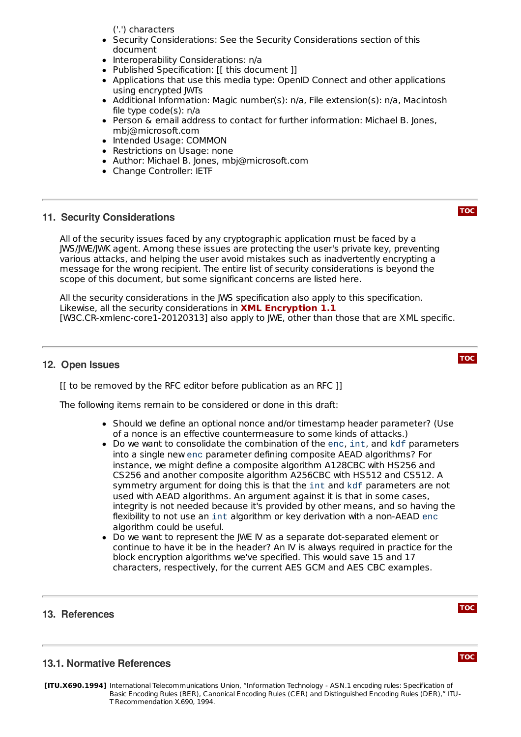('.') characters

- Security Considerations: See the Security Considerations section of this document
- Interoperability Considerations: n/a
- Published Specification: [[ this document ]]
- Applications that use this media type: OpenID Connect and other applications  $\bullet$ using encrypted JWTs
- Additional Information: Magic number(s): n/a, File extension(s): n/a, Macintosh file type code(s): n/a
- Person & email address to contact for further information: Michael B. Jones, mbj@microsoft.com
- Intended Usage: COMMON
- Restrictions on Usage: none
- Author: Michael B. Jones, mbj@microsoft.com
- Change Controller: IETF

#### <span id="page-14-0"></span>**11. Security Considerations**

All of the security issues faced by any cryptographic application must be faced by a JWS/JWE/JWK agent. Among these issues are protecting the user's private key, preventing various attacks, and helping the user avoid mistakes such as inadvertently encrypting a message for the wrong recipient. The entire list of security considerations is beyond the scope of this document, but some significant concerns are listed here.

All the security considerations in the JWS specification also apply to this specification. Likewise, all the security considerations in **XML [Encryption](#page-15-23) 1.1**[W3C.CR-xmlenc-core1-20120313] also apply to JWE, other than those that are XML specific.

#### <span id="page-14-1"></span>**12. Open Issues**

[[ to be removed by the RFC editor before publication as an RFC ]]

The following items remain to be considered or done in this draft:

- Should we define an optional nonce and/or timestamp header parameter? (Use of a nonce is an effective countermeasure to some kinds of attacks.)
- Do we want to consolidate the combination of the enc, int, and kdf parameters into a single new enc parameter defining composite AEAD algorithms? For instance, we might define a composite algorithm A128CBC with HS256 and CS256 and another composite algorithm A256CBC with HS512 and CS512. A symmetry argument for doing this is that the int and kdf parameters are not used with AEAD algorithms. An argument against it is that in some cases, integrity is not needed because it's provided by other means, and so having the flexibility to not use an int algorithm or key derivation with a non-AEAD enc algorithm could be useful.
- Do we want to represent the JWE IV as a separate dot-separated element or continue to have it be in the header? An IV is always required in practice for the block encryption algorithms we've specified. This would save 15 and 17 characters, respectively, for the current AES GCM and AES CBC examples.

#### <span id="page-14-2"></span>**13. References**

**[TOC](#page-0-0)**

**[TOC](#page-0-0)**

#### **13.1. Normative References**

<span id="page-14-3"></span>**[ITU.X690.1994]** International Telecommunications Union, "Information Technology - ASN.1 encoding rules: Specification of Basic Encoding Rules (BER), Canonical Encoding Rules (CER) and Distinguished Encoding Rules (DER)," ITU-T Recommendation X.690, 1994.

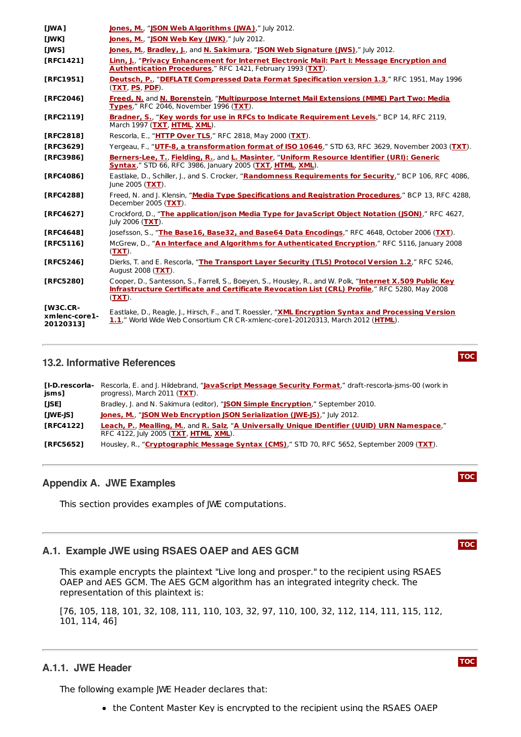<span id="page-15-22"></span><span id="page-15-21"></span><span id="page-15-20"></span><span id="page-15-19"></span><span id="page-15-16"></span><span id="page-15-15"></span><span id="page-15-14"></span><span id="page-15-12"></span><span id="page-15-9"></span><span id="page-15-7"></span><span id="page-15-6"></span><span id="page-15-5"></span>

| [JWA]                                         | <b>Jones, M., "JSON Web Algorithms (JWA)," July 2012.</b>                                                                                                                                                              |
|-----------------------------------------------|------------------------------------------------------------------------------------------------------------------------------------------------------------------------------------------------------------------------|
| [JWK]                                         | Jones, M., "JSON Web Key (JWK)," July 2012.                                                                                                                                                                            |
| [JWS]                                         | Jones, M., Bradley, J., and N. Sakimura, "JSON Web Signature (JWS)," July 2012.                                                                                                                                        |
| [RFC1421]                                     | Linn, J., "Privacy Enhancement for Internet Electronic Mail: Part I: Message Encryption and<br>Authentication Procedures," RFC 1421, February 1993 (TXT).                                                              |
| [RFC1951]                                     | Deutsch, P., "DEFLATE Compressed Data Format Specification version 1.3," RFC 1951, May 1996<br>$(TXT, PS, PDF)$ .                                                                                                      |
| [RFC2046]                                     | Freed, N. and N. Borenstein, "Multipurpose Internet Mail Extensions (MIME) Part Two: Media<br>Types," RFC 2046, November 1996 (TXT).                                                                                   |
| [RFC2119]                                     | Bradner, S., "Key words for use in RFCs to Indicate Requirement Levels," BCP 14, RFC 2119,<br>March 1997 (TXT, HTML, XML).                                                                                             |
| [RFC2818]                                     | Rescorla, E., "HTTP Over TLS," RFC 2818, May 2000 (TXT).                                                                                                                                                               |
| [RFC3629]                                     | Yergeau, F., "UTF-8, a transformation format of ISO 10646," STD 63, RFC 3629, November 2003 (TXT).                                                                                                                     |
| [RFC3986]                                     | Berners-Lee, T., Fielding, R., and L. Masinter, "Uniform Resource Identifier (URI): Generic<br><b>Syntax," STD 66, RFC 3986, January 2005 (TXT, HTML, XML).</b>                                                        |
| [RFC4086]                                     | Eastlake, D., Schiller, J., and S. Crocker, "Randomness Requirements for Security," BCP 106, RFC 4086,<br>June 2005 $(TXT)$ .                                                                                          |
| [RFC4288]                                     | Freed, N. and J. Klensin, "Media Type Specifications and Registration Procedures," BCP 13, RFC 4288,<br>December 2005 (TXT).                                                                                           |
| [RFC4627]                                     | Crockford, D., "The application/json Media Type for JavaScript Object Notation (JSON)," RFC 4627,<br>July 2006 (TXT).                                                                                                  |
| [RFC4648]                                     | Josefsson, S., "The Base16, Base32, and Base64 Data Encodings," RFC 4648, October 2006 (TXT).                                                                                                                          |
| [ $RFC5116$ ]                                 | McGrew, D., "An Interface and Algorithms for Authenticated Encryption," RFC 5116, January 2008<br>$(TXT)$ .                                                                                                            |
| [RFC5246]                                     | Dierks, T. and E. Rescorla, "The Transport Layer Security (TLS) Protocol Version 1.2," RFC 5246,<br>August 2008 (TXT).                                                                                                 |
| [RFC5280]                                     | Cooper, D., Santesson, S., Farrell, S., Boeyen, S., Housley, R., and W. Polk, "Internet X.509 Public Key<br>Infrastructure Certificate and Certificate Revocation List (CRL) Profile," RFC 5280, May 2008<br>$(TXT)$ . |
| <b>IW3C.CR-</b><br>xmlenc-core1-<br>20120313] | Eastlake, D., Reagle, J., Hirsch, F., and T. Roessler, "XML Encryption Syntax and Processing Version<br>1.1," World Wide Web Consortium CR CR-xmlenc-core1-20120313, March 2012 (HTML).                                |

#### <span id="page-15-23"></span><span id="page-15-18"></span><span id="page-15-17"></span><span id="page-15-10"></span><span id="page-15-8"></span><span id="page-15-4"></span><span id="page-15-0"></span>**13.2. Informative References**

<span id="page-15-25"></span><span id="page-15-24"></span><span id="page-15-13"></span><span id="page-15-11"></span>

| [I-D.rescorla-<br>jsms] | Rescorla, E. and J. Hildebrand, "JavaScript Message Security Format," draft-rescorla-jsms-00 (work in<br>progress), March 2011 (TXT).  |
|-------------------------|----------------------------------------------------------------------------------------------------------------------------------------|
| [JSE]                   | Bradley, J. and N. Sakimura (editor), "JSON Simple Encryption," September 2010.                                                        |
| [JWE-JS]                | Jones, M., "JSON Web Encryption JSON Serialization (JWE-JS)," July 2012.                                                               |
| <b>TRFC41221</b>        | Leach, P., Mealling, M., and R. Salz, "A Universally Unique IDentifier (UUID) URN Namespace,"<br>RFC 4122, July 2005 (TXT, HTML, XML). |
| <b>TRFC56521</b>        | Housley, R., "Cryptographic Message Syntax (CMS)," STD 70, RFC 5652, September 2009 (TXT).                                             |

#### <span id="page-15-26"></span><span id="page-15-1"></span>**Appendix A. JWE Examples**

<span id="page-15-2"></span>This section provides examples of JWE computations.

### **A.1. Example JWE using RSAES OAEP and AES GCM**

This example encrypts the plaintext "Live long and prosper." to the recipient using RSAES OAEP and AES GCM. The AES GCM algorithm has an integrated integrity check. The representation of this plaintext is:

[76, 105, 118, 101, 32, 108, 111, 110, 103, 32, 97, 110, 100, 32, 112, 114, 111, 115, 112, 101, 114, 46]

# <span id="page-15-3"></span>**A.1.1. JWE Header**

The following example JWE Header declares that:

• the Content Master Key is encrypted to the recipient using the RSAES OAEP



**[TOC](#page-0-0)**

# **[TOC](#page-0-0)**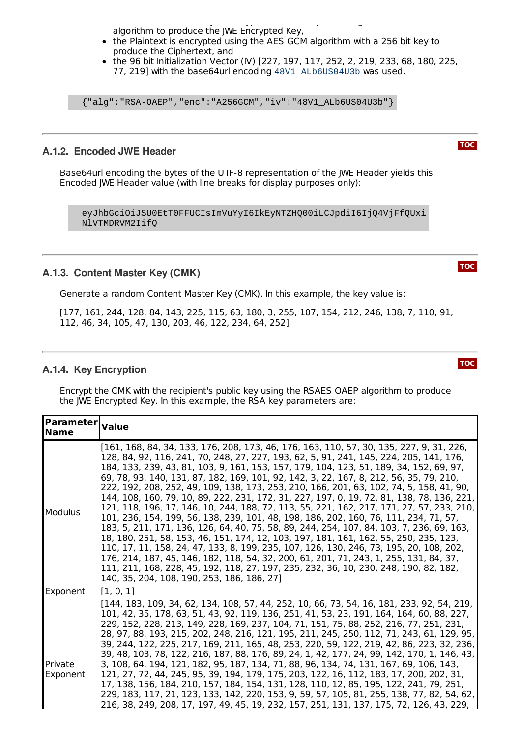the Content Master Key is encrypted to the recipient using the RSAES OAEP algorithm to produce the JWE Encrypted Key,

- the Plaintext is encrypted using the AES GCM algorithm with a 256 bit key to produce the Ciphertext, and
- the 96 bit Initialization Vector (IV)  $[227, 197, 117, 252, 2, 219, 233, 68, 180, 225,$ 77, 219] with the base64url encoding 48V1\_ALb6US04U3b was used.

{"alg":"RSA-OAEP","enc":"A256GCM","iv":"48V1\_ALb6US04U3b"}

#### <span id="page-16-0"></span>**A.1.2. Encoded JWE Header**

Base64url encoding the bytes of the UTF-8 representation of the JWE Header yields this Encoded JWE Header value (with line breaks for display purposes only):

eyJhbGciOiJSU0EtT0FFUCIsImVuYyI6IkEyNTZHQ00iLCJpdiI6IjQ4VjFfQUxi NlVTMDRVM2IifQ

#### <span id="page-16-1"></span>**A.1.3. Content Master Key (CMK)**

Generate a random Content Master Key (CMK). In this example, the key value is:

[177, 161, 244, 128, 84, 143, 225, 115, 63, 180, 3, 255, 107, 154, 212, 246, 138, 7, 110, 91, 112, 46, 34, 105, 47, 130, 203, 46, 122, 234, 64, 252]

#### <span id="page-16-2"></span>**A.1.4. Key Encryption**

Encrypt the CMK with the recipient's public key using the RSAES OAEP algorithm to produce the JWE Encrypted Key. In this example, the RSA key parameters are:

| <b>Parameter</b> Value<br><b>Name</b> |                                                                                                                                                                                                                                                                                                                                                                                                                                                                                                                                                                                                                                                                                                                                                                                                                                                                                                                                                                                                                                                                                                                                                                                                                                                                |
|---------------------------------------|----------------------------------------------------------------------------------------------------------------------------------------------------------------------------------------------------------------------------------------------------------------------------------------------------------------------------------------------------------------------------------------------------------------------------------------------------------------------------------------------------------------------------------------------------------------------------------------------------------------------------------------------------------------------------------------------------------------------------------------------------------------------------------------------------------------------------------------------------------------------------------------------------------------------------------------------------------------------------------------------------------------------------------------------------------------------------------------------------------------------------------------------------------------------------------------------------------------------------------------------------------------|
| <b>Modulus</b>                        | [161, 168, 84, 34, 133, 176, 208, 173, 46, 176, 163, 110, 57, 30, 135, 227, 9, 31, 226,<br>128, 84, 92, 116, 241, 70, 248, 27, 227, 193, 62, 5, 91, 241, 145, 224, 205, 141, 176,<br>184, 133, 239, 43, 81, 103, 9, 161, 153, 157, 179, 104, 123, 51, 189, 34, 152, 69, 97,<br>69, 78, 93, 140, 131, 87, 182, 169, 101, 92, 142, 3, 22, 167, 8, 212, 56, 35, 79, 210,<br>222, 192, 208, 252, 49, 109, 138, 173, 253, 210, 166, 201, 63, 102, 74, 5, 158, 41, 90,<br>144, 108, 160, 79, 10, 89, 222, 231, 172, 31, 227, 197, 0, 19, 72, 81, 138, 78, 136, 221,<br>121, 118, 196, 17, 146, 10, 244, 188, 72, 113, 55, 221, 162, 217, 171, 27, 57, 233, 210,<br>101, 236, 154, 199, 56, 138, 239, 101, 48, 198, 186, 202, 160, 76, 111, 234, 71, 57,<br>183, 5, 211, 171, 136, 126, 64, 40, 75, 58, 89, 244, 254, 107, 84, 103, 7, 236, 69, 163,<br>18, 180, 251, 58, 153, 46, 151, 174, 12, 103, 197, 181, 161, 162, 55, 250, 235, 123,<br>110, 17, 11, 158, 24, 47, 133, 8, 199, 235, 107, 126, 130, 246, 73, 195, 20, 108, 202,<br>176, 214, 187, 45, 146, 182, 118, 54, 32, 200, 61, 201, 71, 243, 1, 255, 131, 84, 37,<br>111, 211, 168, 228, 45, 192, 118, 27, 197, 235, 232, 36, 10, 230, 248, 190, 82, 182,<br>140, 35, 204, 108, 190, 253, 186, 186, 27] |
| Exponent                              | [1, 0, 1]                                                                                                                                                                                                                                                                                                                                                                                                                                                                                                                                                                                                                                                                                                                                                                                                                                                                                                                                                                                                                                                                                                                                                                                                                                                      |
| Private<br>Exponent                   | [144, 183, 109, 34, 62, 134, 108, 57, 44, 252, 10, 66, 73, 54, 16, 181, 233, 92, 54, 219,<br>101, 42, 35, 178, 63, 51, 43, 92, 119, 136, 251, 41, 53, 23, 191, 164, 164, 60, 88, 227,<br>229, 152, 228, 213, 149, 228, 169, 237, 104, 71, 151, 75, 88, 252, 216, 77, 251, 231,<br>28, 97, 88, 193, 215, 202, 248, 216, 121, 195, 211, 245, 250, 112, 71, 243, 61, 129, 95,<br>39, 244, 122, 225, 217, 169, 211, 165, 48, 253, 220, 59, 122, 219, 42, 86, 223, 32, 236,<br>39, 48, 103, 78, 122, 216, 187, 88, 176, 89, 24, 1, 42, 177, 24, 99, 142, 170, 1, 146, 43,<br>3, 108, 64, 194, 121, 182, 95, 187, 134, 71, 88, 96, 134, 74, 131, 167, 69, 106, 143,<br>121, 27, 72, 44, 245, 95, 39, 194, 179, 175, 203, 122, 16, 112, 183, 17, 200, 202, 31,<br>17, 138, 156, 184, 210, 157, 184, 154, 131, 128, 110, 12, 85, 195, 122, 241, 79, 251,<br>229, 183, 117, 21, 123, 133, 142, 220, 153, 9, 59, 57, 105, 81, 255, 138, 77, 82, 54, 62,<br>216, 38, 249, 208, 17, 197, 49, 45, 19, 232, 157, 251, 131, 137, 175, 72, 126, 43, 229,                                                                                                                                                                                                                       |

**[TOC](#page-0-0)**

**[TOC](#page-0-0)**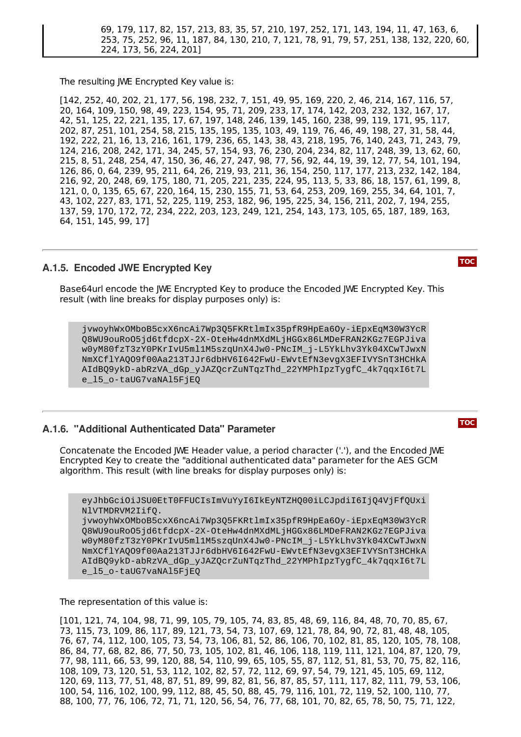69, 179, 117, 82, 157, 213, 83, 35, 57, 210, 197, 252, 171, 143, 194, 11, 47, 163, 6, 253, 75, 252, 96, 11, 187, 84, 130, 210, 7, 121, 78, 91, 79, 57, 251, 138, 132, 220, 60, 224, 173, 56, 224, 201]

The resulting JWE Encrypted Key value is:

[142, 252, 40, 202, 21, 177, 56, 198, 232, 7, 151, 49, 95, 169, 220, 2, 46, 214, 167, 116, 57, 20, 164, 109, 150, 98, 49, 223, 154, 95, 71, 209, 233, 17, 174, 142, 203, 232, 132, 167, 17, 42, 51, 125, 22, 221, 135, 17, 67, 197, 148, 246, 139, 145, 160, 238, 99, 119, 171, 95, 117, 202, 87, 251, 101, 254, 58, 215, 135, 195, 135, 103, 49, 119, 76, 46, 49, 198, 27, 31, 58, 44, 192, 222, 21, 16, 13, 216, 161, 179, 236, 65, 143, 38, 43, 218, 195, 76, 140, 243, 71, 243, 79, 124, 216, 208, 242, 171, 34, 245, 57, 154, 93, 76, 230, 204, 234, 82, 117, 248, 39, 13, 62, 60, 215, 8, 51, 248, 254, 47, 150, 36, 46, 27, 247, 98, 77, 56, 92, 44, 19, 39, 12, 77, 54, 101, 194, 126, 86, 0, 64, 239, 95, 211, 64, 26, 219, 93, 211, 36, 154, 250, 117, 177, 213, 232, 142, 184, 216, 92, 20, 248, 69, 175, 180, 71, 205, 221, 235, 224, 95, 113, 5, 33, 86, 18, 157, 61, 199, 8, 121, 0, 0, 135, 65, 67, 220, 164, 15, 230, 155, 71, 53, 64, 253, 209, 169, 255, 34, 64, 101, 7, 43, 102, 227, 83, 171, 52, 225, 119, 253, 182, 96, 195, 225, 34, 156, 211, 202, 7, 194, 255, 137, 59, 170, 172, 72, 234, 222, 203, 123, 249, 121, 254, 143, 173, 105, 65, 187, 189, 163, 64, 151, 145, 99, 17]

#### <span id="page-17-0"></span>**A.1.5. Encoded JWE Encrypted Key**

Base64url encode the JWE Encrypted Key to produce the Encoded JWE Encrypted Key. This result (with line breaks for display purposes only) is:

jvwoyhWxOMboB5cxX6ncAi7Wp3Q5FKRtlmIx35pfR9HpEa6Oy-iEpxEqM30W3YcR Q8WU9ouRoO5jd6tfdcpX-2X-OteHw4dnMXdMLjHGGx86LMDeFRAN2KGz7EGPJiva w0yM80fzT3zY0PKrIvU5ml1M5szqUnX4Jw0-PNcIM\_j-L5YkLhv3Yk04XCwTJwxN NmXCflYAQO9f00Aa213TJJr6dbHV6I642FwU-EWvtEfN3evgX3EFIVYSnT3HCHkA AIdBQ9ykD-abRzVA\_dGp\_yJAZQcrZuNTqzThd\_22YMPhIpzTygfC\_4k7qqxI6t7L e\_l5\_o-taUG7vaNAl5FjEQ

#### <span id="page-17-1"></span>**A.1.6. "Additional Authenticated Data" Parameter**

Concatenate the Encoded JWE Header value, a period character ('.'), and the Encoded JWE Encrypted Key to create the "additional authenticated data" parameter for the AES GCM algorithm. This result (with line breaks for display purposes only) is:

eyJhbGciOiJSU0EtT0FFUCIsImVuYyI6IkEyNTZHQ00iLCJpdiI6IjQ4VjFfQUxi NlVTMDRVM2IifQ.

jvwoyhWxOMboB5cxX6ncAi7Wp3Q5FKRtlmIx35pfR9HpEa6Oy-iEpxEqM30W3YcR Q8WU9ouRoO5jd6tfdcpX-2X-OteHw4dnMXdMLjHGGx86LMDeFRAN2KGz7EGPJiva w0yM80fzT3zY0PKrIvU5ml1M5szqUnX4Jw0-PNcIM\_j-L5YkLhv3Yk04XCwTJwxN NmXCflYAQO9f00Aa213TJJr6dbHV6I642FwU-EWvtEfN3evgX3EFIVYSnT3HCHkA AIdBQ9ykD-abRzVA\_dGp\_yJAZQcrZuNTqzThd\_22YMPhIpzTygfC\_4k7qqxI6t7L e\_l5\_o-taUG7vaNAl5FjEQ

The representation of this value is:

[101, 121, 74, 104, 98, 71, 99, 105, 79, 105, 74, 83, 85, 48, 69, 116, 84, 48, 70, 70, 85, 67, 73, 115, 73, 109, 86, 117, 89, 121, 73, 54, 73, 107, 69, 121, 78, 84, 90, 72, 81, 48, 48, 105, 76, 67, 74, 112, 100, 105, 73, 54, 73, 106, 81, 52, 86, 106, 70, 102, 81, 85, 120, 105, 78, 108, 86, 84, 77, 68, 82, 86, 77, 50, 73, 105, 102, 81, 46, 106, 118, 119, 111, 121, 104, 87, 120, 79, 77, 98, 111, 66, 53, 99, 120, 88, 54, 110, 99, 65, 105, 55, 87, 112, 51, 81, 53, 70, 75, 82, 116, 108, 109, 73, 120, 51, 53, 112, 102, 82, 57, 72, 112, 69, 97, 54, 79, 121, 45, 105, 69, 112, 120, 69, 113, 77, 51, 48, 87, 51, 89, 99, 82, 81, 56, 87, 85, 57, 111, 117, 82, 111, 79, 53, 106, 100, 54, 116, 102, 100, 99, 112, 88, 45, 50, 88, 45, 79, 116, 101, 72, 119, 52, 100, 110, 77, 88, 100, 77, 76, 106, 72, 71, 71, 120, 56, 54, 76, 77, 68, 101, 70, 82, 65, 78, 50, 75, 71, 122,

**[TOC](#page-0-0)**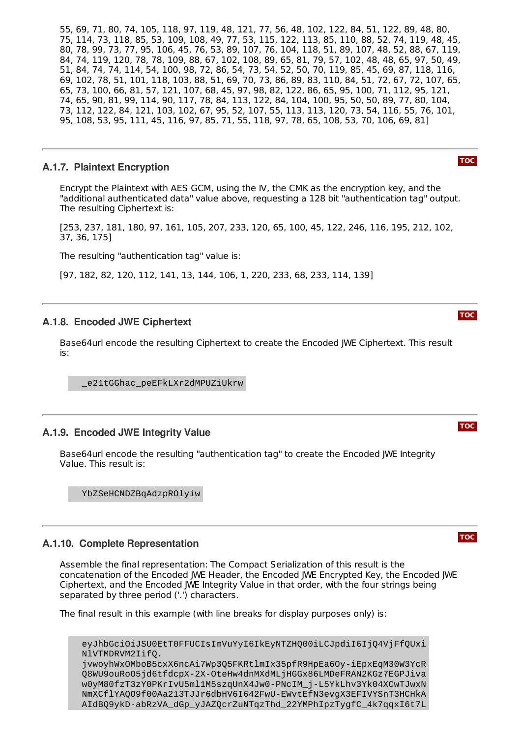55, 69, 71, 80, 74, 105, 118, 97, 119, 48, 121, 77, 56, 48, 102, 122, 84, 51, 122, 89, 48, 80, 75, 114, 73, 118, 85, 53, 109, 108, 49, 77, 53, 115, 122, 113, 85, 110, 88, 52, 74, 119, 48, 45, 80, 78, 99, 73, 77, 95, 106, 45, 76, 53, 89, 107, 76, 104, 118, 51, 89, 107, 48, 52, 88, 67, 119, 84, 74, 119, 120, 78, 78, 109, 88, 67, 102, 108, 89, 65, 81, 79, 57, 102, 48, 48, 65, 97, 50, 49, 51, 84, 74, 74, 114, 54, 100, 98, 72, 86, 54, 73, 54, 52, 50, 70, 119, 85, 45, 69, 87, 118, 116, 69, 102, 78, 51, 101, 118, 103, 88, 51, 69, 70, 73, 86, 89, 83, 110, 84, 51, 72, 67, 72, 107, 65, 65, 73, 100, 66, 81, 57, 121, 107, 68, 45, 97, 98, 82, 122, 86, 65, 95, 100, 71, 112, 95, 121, 74, 65, 90, 81, 99, 114, 90, 117, 78, 84, 113, 122, 84, 104, 100, 95, 50, 50, 89, 77, 80, 104, 73, 112, 122, 84, 121, 103, 102, 67, 95, 52, 107, 55, 113, 113, 120, 73, 54, 116, 55, 76, 101, 95, 108, 53, 95, 111, 45, 116, 97, 85, 71, 55, 118, 97, 78, 65, 108, 53, 70, 106, 69, 81]

#### <span id="page-18-0"></span>**A.1.7. Plaintext Encryption**

Encrypt the Plaintext with AES GCM, using the IV, the CMK as the encryption key, and the "additional authenticated data" value above, requesting a 128 bit "authentication tag" output. The resulting Ciphertext is:

[253, 237, 181, 180, 97, 161, 105, 207, 233, 120, 65, 100, 45, 122, 246, 116, 195, 212, 102, 37, 36, 175]

The resulting "authentication tag" value is:

<span id="page-18-1"></span>[97, 182, 82, 120, 112, 141, 13, 144, 106, 1, 220, 233, 68, 233, 114, 139]

#### **A.1.8. Encoded JWE Ciphertext**

Base64url encode the resulting Ciphertext to create the Encoded JWE Ciphertext. This result is:

\_e21tGGhac\_peEFkLXr2dMPUZiUkrw

#### <span id="page-18-2"></span>**A.1.9. Encoded JWE Integrity Value**

Base64url encode the resulting "authentication tag" to create the Encoded JWE Integrity Value. This result is:

YbZSeHCNDZBqAdzpROlyiw

#### <span id="page-18-3"></span>**A.1.10. Complete Representation**

Assemble the final representation: The Compact Serialization of this result is the concatenation of the Encoded JWE Header, the Encoded JWE Encrypted Key, the Encoded JWE Ciphertext, and the Encoded JWE Integrity Value in that order, with the four strings being separated by three period ('.') characters.

The final result in this example (with line breaks for display purposes only) is:

eyJhbGciOiJSU0EtT0FFUCIsImVuYyI6IkEyNTZHQ00iLCJpdiI6IjQ4VjFfQUxi NlVTMDRVM2IifQ. jvwoyhWxOMboB5cxX6ncAi7Wp3Q5FKRtlmIx35pfR9HpEa6Oy-iEpxEqM30W3YcR Q8WU9ouRoO5jd6tfdcpX-2X-OteHw4dnMXdMLjHGGx86LMDeFRAN2KGz7EGPJiva w0yM80fzT3zY0PKrIvU5ml1M5szqUnX4Jw0-PNcIM\_j-L5YkLhv3Yk04XCwTJwxN NmXCflYAQO9f00Aa213TJJr6dbHV6I642FwU-EWvtEfN3evgX3EFIVYSnT3HCHkA AIdBQ9ykD-abRzVA\_dGp\_yJAZQcrZuNTqzThd\_22YMPhIpzTygfC\_4k7qqxI6t7L

# **[TOC](#page-0-0)**

# **[TOC](#page-0-0)**



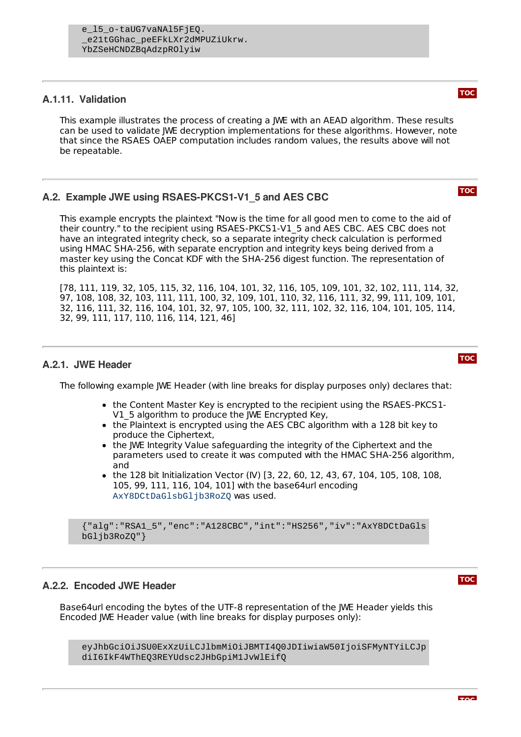### <span id="page-19-0"></span>**A.1.11. Validation**

This example illustrates the process of creating a JWE with an AEAD algorithm. These results can be used to validate JWE decryption implementations for these algorithms. However, note that since the RSAES OAEP computation includes random values, the results above will not be repeatable.

# <span id="page-19-1"></span>**A.2. Example JWE using RSAES-PKCS1-V1\_5 and AES CBC**

This example encrypts the plaintext "Now is the time for all good men to come to the aid of their country." to the recipient using RSAES-PKCS1-V1\_5 and AES CBC. AES CBC does not have an integrated integrity check, so a separate integrity check calculation is performed using HMAC SHA-256, with separate encryption and integrity keys being derived from a master key using the Concat KDF with the SHA-256 digest function. The representation of this plaintext is:

[78, 111, 119, 32, 105, 115, 32, 116, 104, 101, 32, 116, 105, 109, 101, 32, 102, 111, 114, 32, 97, 108, 108, 32, 103, 111, 111, 100, 32, 109, 101, 110, 32, 116, 111, 32, 99, 111, 109, 101, 32, 116, 111, 32, 116, 104, 101, 32, 97, 105, 100, 32, 111, 102, 32, 116, 104, 101, 105, 114, 32, 99, 111, 117, 110, 116, 114, 121, 46]

### <span id="page-19-2"></span>**A.2.1. JWE Header**

The following example JWE Header (with line breaks for display purposes only) declares that:

- the Content Master Key is encrypted to the recipient using the RSAES-PKCS1-V1 5 algorithm to produce the JWE Encrypted Key,
- the Plaintext is encrypted using the AES CBC algorithm with a 128 bit key to produce the Ciphertext,
- the JWE Integrity Value safeguarding the integrity of the Ciphertext and the parameters used to create it was computed with the HMAC SHA-256 algorithm, and
- the 128 bit Initialization Vector (IV) [3, 22, 60, 12, 43, 67, 104, 105, 108, 108, 105, 99, 111, 116, 104, 101] with the base64url encoding AxY8DCtDaGlsbGljb3RoZQ was used.

{"alg":"RSA1\_5","enc":"A128CBC","int":"HS256","iv":"AxY8DCtDaGls bGljb3RoZQ"}

# <span id="page-19-3"></span>**A.2.2. Encoded JWE Header**

Base64url encoding the bytes of the UTF-8 representation of the JWE Header yields this Encoded JWE Header value (with line breaks for display purposes only):

<span id="page-19-4"></span>eyJhbGciOiJSU0ExXzUiLCJlbmMiOiJBMTI4Q0JDIiwiaW50IjoiSFMyNTYiLCJp diI6IkF4WThEQ3REYUdsc2JHbGpiM1JvWlEifQ

#### **[TOC](#page-0-0)**

**[TOC](#page-0-0)**

**[TOC](#page-0-0)**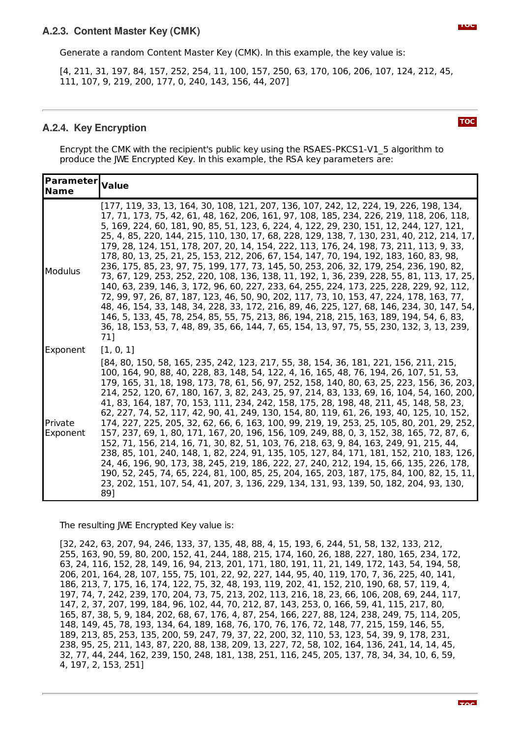[4, 211, 31, 197, 84, 157, 252, 254, 11, 100, 157, 250, 63, 170, 106, 206, 107, 124, 212, 45, 111, 107, 9, 219, 200, 177, 0, 240, 143, 156, 44, 207]

#### <span id="page-20-0"></span>**A.2.4. Key Encryption**

Encrypt the CMK with the recipient's public key using the RSAES-PKCS1-V1\_5 algorithm to produce the JWE Encrypted Key. In this example, the RSA key parameters are:

| <b>Parameter   Value</b><br><b>Name</b> |                                                                                                                                                                                                                                                                                                                                                                                                                                                                                                                                                                                                                                                                                                                                                                                                                                                                                                                                                                                                                                                                                                                                                                                                                                         |
|-----------------------------------------|-----------------------------------------------------------------------------------------------------------------------------------------------------------------------------------------------------------------------------------------------------------------------------------------------------------------------------------------------------------------------------------------------------------------------------------------------------------------------------------------------------------------------------------------------------------------------------------------------------------------------------------------------------------------------------------------------------------------------------------------------------------------------------------------------------------------------------------------------------------------------------------------------------------------------------------------------------------------------------------------------------------------------------------------------------------------------------------------------------------------------------------------------------------------------------------------------------------------------------------------|
| <b>Modulus</b>                          | [177, 119, 33, 13, 164, 30, 108, 121, 207, 136, 107, 242, 12, 224, 19, 226, 198, 134,<br>17, 71, 173, 75, 42, 61, 48, 162, 206, 161, 97, 108, 185, 234, 226, 219, 118, 206, 118,<br>5, 169, 224, 60, 181, 90, 85, 51, 123, 6, 224, 4, 122, 29, 230, 151, 12, 244, 127, 121,<br>25, 4, 85, 220, 144, 215, 110, 130, 17, 68, 228, 129, 138, 7, 130, 231, 40, 212, 214, 17,<br>179, 28, 124, 151, 178, 207, 20, 14, 154, 222, 113, 176, 24, 198, 73, 211, 113, 9, 33,<br>178, 80, 13, 25, 21, 25, 153, 212, 206, 67, 154, 147, 70, 194, 192, 183, 160, 83, 98,<br>236, 175, 85, 23, 97, 75, 199, 177, 73, 145, 50, 253, 206, 32, 179, 254, 236, 190, 82,<br>73, 67, 129, 253, 252, 220, 108, 136, 138, 11, 192, 1, 36, 239, 228, 55, 81, 113, 17, 25,<br>140, 63, 239, 146, 3, 172, 96, 60, 227, 233, 64, 255, 224, 173, 225, 228, 229, 92, 112,<br>72, 99, 97, 26, 87, 187, 123, 46, 50, 90, 202, 117, 73, 10, 153, 47, 224, 178, 163, 77,<br>48, 46, 154, 33, 148, 34, 228, 33, 172, 216, 89, 46, 225, 127, 68, 146, 234, 30, 147, 54,<br>146, 5, 133, 45, 78, 254, 85, 55, 75, 213, 86, 194, 218, 215, 163, 189, 194, 54, 6, 83,<br>36, 18, 153, 53, 7, 48, 89, 35, 66, 144, 7, 65, 154, 13, 97, 75, 55, 230, 132, 3, 13, 239,<br>71]   |
| Exponent                                | [1, 0, 1]                                                                                                                                                                                                                                                                                                                                                                                                                                                                                                                                                                                                                                                                                                                                                                                                                                                                                                                                                                                                                                                                                                                                                                                                                               |
| Private<br>Exponent                     | [84, 80, 150, 58, 165, 235, 242, 123, 217, 55, 38, 154, 36, 181, 221, 156, 211, 215,<br>100, 164, 90, 88, 40, 228, 83, 148, 54, 122, 4, 16, 165, 48, 76, 194, 26, 107, 51, 53,<br>179, 165, 31, 18, 198, 173, 78, 61, 56, 97, 252, 158, 140, 80, 63, 25, 223, 156, 36, 203,<br>214, 252, 120, 67, 180, 167, 3, 82, 243, 25, 97, 214, 83, 133, 69, 16, 104, 54, 160, 200,<br>41, 83, 164, 187, 70, 153, 111, 234, 242, 158, 175, 28, 198, 48, 211, 45, 148, 58, 23,<br>62, 227, 74, 52, 117, 42, 90, 41, 249, 130, 154, 80, 119, 61, 26, 193, 40, 125, 10, 152,<br>174, 227, 225, 205, 32, 62, 66, 6, 163, 100, 99, 219, 19, 253, 25, 105, 80, 201, 29, 252,<br>157, 237, 69, 1, 80, 171, 167, 20, 196, 156, 109, 249, 88, 0, 3, 152, 38, 165, 72, 87, 6,<br>152, 71, 156, 214, 16, 71, 30, 82, 51, 103, 76, 218, 63, 9, 84, 163, 249, 91, 215, 44,<br>238, 85, 101, 240, 148, 1, 82, 224, 91, 135, 105, 127, 84, 171, 181, 152, 210, 183, 126,<br>24, 46, 196, 90, 173, 38, 245, 219, 186, 222, 27, 240, 212, 194, 15, 66, 135, 226, 178,<br>190, 52, 245, 74, 65, 224, 81, 100, 85, 25, 204, 165, 203, 187, 175, 84, 100, 82, 15, 11,<br>23, 202, 151, 107, 54, 41, 207, 3, 136, 229, 134, 131, 93, 139, 50, 182, 204, 93, 130,<br>89] |

The resulting JWE Encrypted Key value is:

<span id="page-20-1"></span>[32, 242, 63, 207, 94, 246, 133, 37, 135, 48, 88, 4, 15, 193, 6, 244, 51, 58, 132, 133, 212, 255, 163, 90, 59, 80, 200, 152, 41, 244, 188, 215, 174, 160, 26, 188, 227, 180, 165, 234, 172, 63, 24, 116, 152, 28, 149, 16, 94, 213, 201, 171, 180, 191, 11, 21, 149, 172, 143, 54, 194, 58, 206, 201, 164, 28, 107, 155, 75, 101, 22, 92, 227, 144, 95, 40, 119, 170, 7, 36, 225, 40, 141, 186, 213, 7, 175, 16, 174, 122, 75, 32, 48, 193, 119, 202, 41, 152, 210, 190, 68, 57, 119, 4, 197, 74, 7, 242, 239, 170, 204, 73, 75, 213, 202, 113, 216, 18, 23, 66, 106, 208, 69, 244, 117, 147, 2, 37, 207, 199, 184, 96, 102, 44, 70, 212, 87, 143, 253, 0, 166, 59, 41, 115, 217, 80, 165, 87, 38, 5, 9, 184, 202, 68, 67, 176, 4, 87, 254, 166, 227, 88, 124, 238, 249, 75, 114, 205, 148, 149, 45, 78, 193, 134, 64, 189, 168, 76, 170, 76, 176, 72, 148, 77, 215, 159, 146, 55, 189, 213, 85, 253, 135, 200, 59, 247, 79, 37, 22, 200, 32, 110, 53, 123, 54, 39, 9, 178, 231, 238, 95, 25, 211, 143, 87, 220, 88, 138, 209, 13, 227, 72, 58, 102, 164, 136, 241, 14, 14, 45, 32, 77, 44, 244, 162, 239, 150, 248, 181, 138, 251, 116, 245, 205, 137, 78, 34, 34, 10, 6, 59, 4, 197, 2, 153, 251]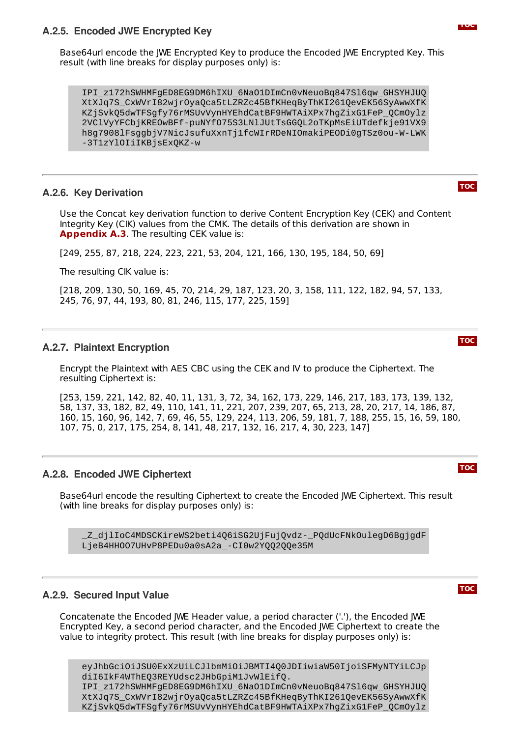#### **A.2.5. Encoded JWE Encrypted Key**

Base64url encode the JWE Encrypted Key to produce the Encoded JWE Encrypted Key. This result (with line breaks for display purposes only) is:

IPI\_z172hSWHMFgED8EG9DM6hIXU\_6NaO1DImCn0vNeuoBq847Sl6qw\_GHSYHJUQ XtXJq7S\_CxWVrI82wjrOyaQca5tLZRZc45BfKHeqByThKI261QevEK56SyAwwXfK KZjSvkQ5dwTFSgfy76rMSUvVynHYEhdCatBF9HWTAiXPx7hgZixG1FeP\_QCmOylz 2VClVyYFCbjKREOwBFf-puNYfO75S3LNlJUtTsGGQL2oTKpMsEiUTdefkje91VX9 h8g7908lFsggbjV7NicJsufuXxnTj1fcWIrRDeNIOmakiPEODi0gTSz0ou-W-LWK -3T1zYlOIiIKBjsExQKZ-w

#### <span id="page-21-0"></span>**A.2.6. Key Derivation**

Use the Concat key derivation function to derive Content Encryption Key (CEK) and Content Integrity Key (CIK) values from the CMK. The details of this derivation are shown in [Appendix](#page-23-1) A.3. The resulting CEK value is:

[249, 255, 87, 218, 224, 223, 221, 53, 204, 121, 166, 130, 195, 184, 50, 69]

The resulting CIK value is:

[218, 209, 130, 50, 169, 45, 70, 214, 29, 187, 123, 20, 3, 158, 111, 122, 182, 94, 57, 133, 245, 76, 97, 44, 193, 80, 81, 246, 115, 177, 225, 159]

#### <span id="page-21-1"></span>**A.2.7. Plaintext Encryption**

Encrypt the Plaintext with AES CBC using the CEK and IV to produce the Ciphertext. The resulting Ciphertext is:

[253, 159, 221, 142, 82, 40, 11, 131, 3, 72, 34, 162, 173, 229, 146, 217, 183, 173, 139, 132, 58, 137, 33, 182, 82, 49, 110, 141, 11, 221, 207, 239, 207, 65, 213, 28, 20, 217, 14, 186, 87, 160, 15, 160, 96, 142, 7, 69, 46, 55, 129, 224, 113, 206, 59, 181, 7, 188, 255, 15, 16, 59, 180, 107, 75, 0, 217, 175, 254, 8, 141, 48, 217, 132, 16, 217, 4, 30, 223, 147]

#### <span id="page-21-2"></span>**A.2.8. Encoded JWE Ciphertext**

Base64url encode the resulting Ciphertext to create the Encoded JWE Ciphertext. This result (with line breaks for display purposes only) is:

\_Z\_djlIoC4MDSCKireWS2beti4Q6iSG2UjFujQvdz-\_PQdUcFNkOulegD6BgjgdF LjeB4HHOO7UHvP8PEDu0a0sA2a\_-CI0w2YQQ2QQe35M

#### <span id="page-21-3"></span>**A.2.9. Secured Input Value**

Concatenate the Encoded JWE Header value, a period character ('.'), the Encoded JWE Encrypted Key, a second period character, and the Encoded JWE Ciphertext to create the value to integrity protect. This result (with line breaks for display purposes only) is:

eyJhbGciOiJSU0ExXzUiLCJlbmMiOiJBMTI4Q0JDIiwiaW50IjoiSFMyNTYiLCJp diI6IkF4WThEQ3REYUdsc2JHbGpiM1JvWlEifQ. IPI\_z172hSWHMFgED8EG9DM6hIXU\_6NaO1DImCn0vNeuoBq847Sl6qw\_GHSYHJUQ XtXJq7S\_CxWVrI82wjrOyaQca5tLZRZc45BfKHeqByThKI261QevEK56SyAwwXfK KZjSvkQ5dwTFSgfy76rMSUvVynHYEhdCatBF9HWTAiXPx7hgZixG1FeP\_QCmOylz

**[TOC](#page-0-0)**

**[TOC](#page-0-0)**

#### **[TOC](#page-0-0)**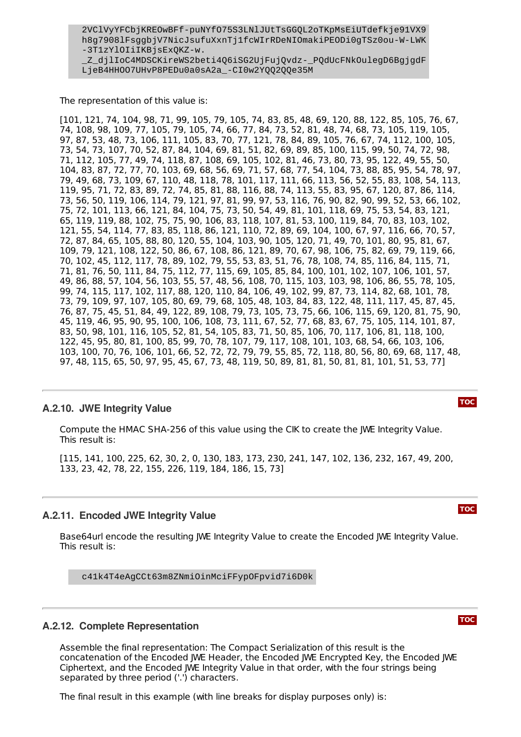The representation of this value is:

[101, 121, 74, 104, 98, 71, 99, 105, 79, 105, 74, 83, 85, 48, 69, 120, 88, 122, 85, 105, 76, 67, 74, 108, 98, 109, 77, 105, 79, 105, 74, 66, 77, 84, 73, 52, 81, 48, 74, 68, 73, 105, 119, 105, 97, 87, 53, 48, 73, 106, 111, 105, 83, 70, 77, 121, 78, 84, 89, 105, 76, 67, 74, 112, 100, 105, 73, 54, 73, 107, 70, 52, 87, 84, 104, 69, 81, 51, 82, 69, 89, 85, 100, 115, 99, 50, 74, 72, 98, 71, 112, 105, 77, 49, 74, 118, 87, 108, 69, 105, 102, 81, 46, 73, 80, 73, 95, 122, 49, 55, 50, 104, 83, 87, 72, 77, 70, 103, 69, 68, 56, 69, 71, 57, 68, 77, 54, 104, 73, 88, 85, 95, 54, 78, 97, 79, 49, 68, 73, 109, 67, 110, 48, 118, 78, 101, 117, 111, 66, 113, 56, 52, 55, 83, 108, 54, 113, 119, 95, 71, 72, 83, 89, 72, 74, 85, 81, 88, 116, 88, 74, 113, 55, 83, 95, 67, 120, 87, 86, 114, 73, 56, 50, 119, 106, 114, 79, 121, 97, 81, 99, 97, 53, 116, 76, 90, 82, 90, 99, 52, 53, 66, 102, 75, 72, 101, 113, 66, 121, 84, 104, 75, 73, 50, 54, 49, 81, 101, 118, 69, 75, 53, 54, 83, 121, 65, 119, 119, 88, 102, 75, 75, 90, 106, 83, 118, 107, 81, 53, 100, 119, 84, 70, 83, 103, 102, 121, 55, 54, 114, 77, 83, 85, 118, 86, 121, 110, 72, 89, 69, 104, 100, 67, 97, 116, 66, 70, 57, 72, 87, 84, 65, 105, 88, 80, 120, 55, 104, 103, 90, 105, 120, 71, 49, 70, 101, 80, 95, 81, 67, 109, 79, 121, 108, 122, 50, 86, 67, 108, 86, 121, 89, 70, 67, 98, 106, 75, 82, 69, 79, 119, 66, 70, 102, 45, 112, 117, 78, 89, 102, 79, 55, 53, 83, 51, 76, 78, 108, 74, 85, 116, 84, 115, 71, 71, 81, 76, 50, 111, 84, 75, 112, 77, 115, 69, 105, 85, 84, 100, 101, 102, 107, 106, 101, 57, 49, 86, 88, 57, 104, 56, 103, 55, 57, 48, 56, 108, 70, 115, 103, 103, 98, 106, 86, 55, 78, 105, 99, 74, 115, 117, 102, 117, 88, 120, 110, 84, 106, 49, 102, 99, 87, 73, 114, 82, 68, 101, 78, 73, 79, 109, 97, 107, 105, 80, 69, 79, 68, 105, 48, 103, 84, 83, 122, 48, 111, 117, 45, 87, 45, 76, 87, 75, 45, 51, 84, 49, 122, 89, 108, 79, 73, 105, 73, 75, 66, 106, 115, 69, 120, 81, 75, 90, 45, 119, 46, 95, 90, 95, 100, 106, 108, 73, 111, 67, 52, 77, 68, 83, 67, 75, 105, 114, 101, 87, 83, 50, 98, 101, 116, 105, 52, 81, 54, 105, 83, 71, 50, 85, 106, 70, 117, 106, 81, 118, 100, 122, 45, 95, 80, 81, 100, 85, 99, 70, 78, 107, 79, 117, 108, 101, 103, 68, 54, 66, 103, 106, 103, 100, 70, 76, 106, 101, 66, 52, 72, 72, 79, 79, 55, 85, 72, 118, 80, 56, 80, 69, 68, 117, 48, 97, 48, 115, 65, 50, 97, 95, 45, 67, 73, 48, 119, 50, 89, 81, 81, 50, 81, 81, 101, 51, 53, 77]

#### <span id="page-22-0"></span>**A.2.10. JWE Integrity Value**

Compute the HMAC SHA-256 of this value using the CIK to create the JWE Integrity Value. This result is:

[115, 141, 100, 225, 62, 30, 2, 0, 130, 183, 173, 230, 241, 147, 102, 136, 232, 167, 49, 200, 133, 23, 42, 78, 22, 155, 226, 119, 184, 186, 15, 73]

#### <span id="page-22-1"></span>**A.2.11. Encoded JWE Integrity Value**

Base64url encode the resulting JWE Integrity Value to create the Encoded JWE Integrity Value. This result is:

c41k4T4eAgCCt63m8ZNmiOinMciFFypOFpvid7i6D0k

#### <span id="page-22-2"></span>**A.2.12. Complete Representation**

Assemble the final representation: The Compact Serialization of this result is the concatenation of the Encoded JWE Header, the Encoded JWE Encrypted Key, the Encoded JWE Ciphertext, and the Encoded JWE Integrity Value in that order, with the four strings being separated by three period ('.') characters.

The final result in this example (with line breaks for display purposes only) is:

**[TOC](#page-0-0)**

#### **[TOC](#page-0-0)**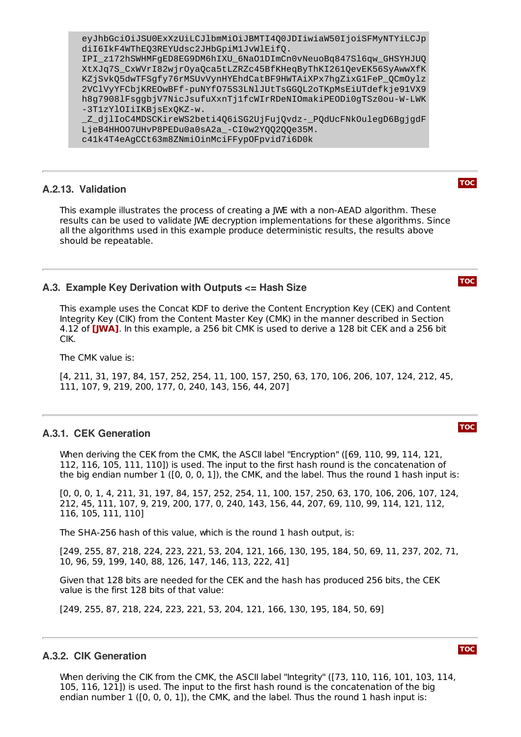eyJhbGciOiJSU0ExXzUiLCJlbmMiOiJBMTI4Q0JDIiwiaW50IjoiSFMyNTYiLCJp diI6IkF4WThEQ3REYUdsc2JHbGpiM1JvWlEifQ. IPI\_z172hSWHMFgED8EG9DM6hIXU\_6NaO1DImCn0vNeuoBq847Sl6qw\_GHSYHJUQ XtXJq7S\_CxWVrI82wjrOyaQca5tLZRZc45BfKHeqByThKI261QevEK56SyAwwXfK KZjSvkQ5dwTFSgfy76rMSUvVynHYEhdCatBF9HWTAiXPx7hgZixG1FeP\_QCmOylz 2VClVyYFCbjKREOwBFf-puNYfO75S3LNlJUtTsGGQL2oTKpMsEiUTdefkje91VX9 h8g7908lFsggbjV7NicJsufuXxnTj1fcWIrRDeNIOmakiPEODi0gTSz0ou-W-LWK -3T1zYlOIiIKBjsExQKZ-w. \_Z\_djlIoC4MDSCKireWS2beti4Q6iSG2UjFujQvdz-\_PQdUcFNkOulegD6BgjgdF

LjeB4HHOO7UHvP8PEDu0a0sA2a\_-CI0w2YQQ2QQe35M. c41k4T4eAgCCt63m8ZNmiOinMciFFypOFpvid7i6D0k

#### <span id="page-23-0"></span>**A.2.13. Validation**

This example illustrates the process of creating a JWE with a non-AEAD algorithm. These results can be used to validate JWE decryption implementations for these algorithms. Since all the algorithms used in this example produce deterministic results, the results above should be repeatable.

#### <span id="page-23-1"></span>**A.3. Example Key Derivation with Outputs <= Hash Size**

This example uses the Concat KDF to derive the Content Encryption Key (CEK) and Content Integrity Key (CIK) from the Content Master Key (CMK) in the manner described in Section 4.12 of **[\[JWA\]](#page-15-5)**. In this example, a 256 bit CMK is used to derive a 128 bit CEK and a 256 bit CIK.

The CMK value is:

[4, 211, 31, 197, 84, 157, 252, 254, 11, 100, 157, 250, 63, 170, 106, 206, 107, 124, 212, 45, 111, 107, 9, 219, 200, 177, 0, 240, 143, 156, 44, 207]

#### <span id="page-23-2"></span>**A.3.1. CEK Generation**

When deriving the CEK from the CMK, the ASCII label "Encryption" (169, 110, 99, 114, 121, 112, 116, 105, 111, 110]) is used. The input to the first hash round is the concatenation of the big endian number 1 ([0, 0, 0, 1]), the CMK, and the label. Thus the round 1 hash input is:

[0, 0, 0, 1, 4, 211, 31, 197, 84, 157, 252, 254, 11, 100, 157, 250, 63, 170, 106, 206, 107, 124, 212, 45, 111, 107, 9, 219, 200, 177, 0, 240, 143, 156, 44, 207, 69, 110, 99, 114, 121, 112, 116, 105, 111, 110]

The SHA-256 hash of this value, which is the round 1 hash output, is:

[249, 255, 87, 218, 224, 223, 221, 53, 204, 121, 166, 130, 195, 184, 50, 69, 11, 237, 202, 71, 10, 96, 59, 199, 140, 88, 126, 147, 146, 113, 222, 41]

Given that 128 bits are needed for the CEK and the hash has produced 256 bits, the CEK value is the first 128 bits of that value:

<span id="page-23-3"></span>[249, 255, 87, 218, 224, 223, 221, 53, 204, 121, 166, 130, 195, 184, 50, 69]

#### **A.3.2. CIK Generation**

When deriving the CIK from the CMK, the ASCII label "Integrity" ([73, 110, 116, 101, 103, 114, 105, 116, 121]) is used. The input to the first hash round is the concatenation of the big endian number 1 ([0, 0, 0, 1]), the CMK, and the label. Thus the round 1 hash input is:

**[TOC](#page-0-0)**

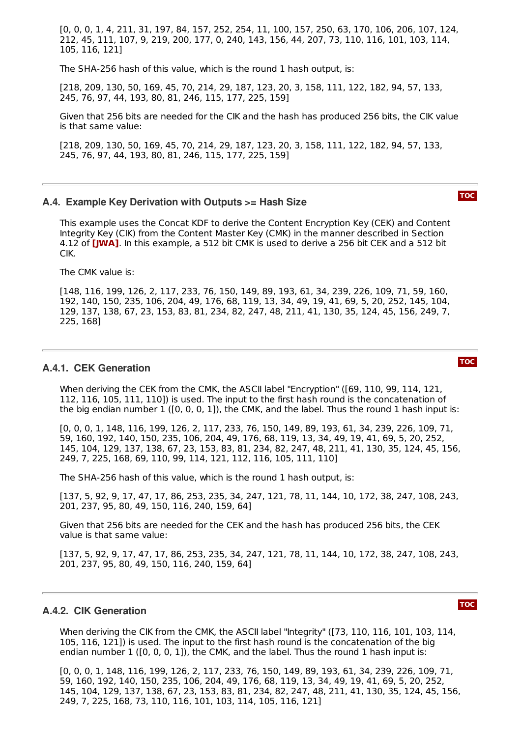[0, 0, 0, 1, 4, 211, 31, 197, 84, 157, 252, 254, 11, 100, 157, 250, 63, 170, 106, 206, 107, 124, 212, 45, 111, 107, 9, 219, 200, 177, 0, 240, 143, 156, 44, 207, 73, 110, 116, 101, 103, 114, 105, 116, 121]

The SHA-256 hash of this value, which is the round 1 hash output, is:

[218, 209, 130, 50, 169, 45, 70, 214, 29, 187, 123, 20, 3, 158, 111, 122, 182, 94, 57, 133, 245, 76, 97, 44, 193, 80, 81, 246, 115, 177, 225, 159]

Given that 256 bits are needed for the CIK and the hash has produced 256 bits, the CIK value is that same value:

[218, 209, 130, 50, 169, 45, 70, 214, 29, 187, 123, 20, 3, 158, 111, 122, 182, 94, 57, 133, 245, 76, 97, 44, 193, 80, 81, 246, 115, 177, 225, 159]

#### <span id="page-24-0"></span>**A.4. Example Key Derivation with Outputs >= Hash Size**

This example uses the Concat KDF to derive the Content Encryption Key (CEK) and Content Integrity Key (CIK) from the Content Master Key (CMK) in the manner described in Section 4.12 of **[\[JWA\]](#page-15-5)**. In this example, a 512 bit CMK is used to derive a 256 bit CEK and a 512 bit CIK.

The CMK value is:

[148, 116, 199, 126, 2, 117, 233, 76, 150, 149, 89, 193, 61, 34, 239, 226, 109, 71, 59, 160, 192, 140, 150, 235, 106, 204, 49, 176, 68, 119, 13, 34, 49, 19, 41, 69, 5, 20, 252, 145, 104, 129, 137, 138, 67, 23, 153, 83, 81, 234, 82, 247, 48, 211, 41, 130, 35, 124, 45, 156, 249, 7, 225, 168]

#### <span id="page-24-1"></span>**A.4.1. CEK Generation**

When deriving the CEK from the CMK, the ASCII label "Encryption" ([69, 110, 99, 114, 121, 112, 116, 105, 111, 110]) is used. The input to the first hash round is the concatenation of the big endian number 1 ([0, 0, 0, 1]), the CMK, and the label. Thus the round 1 hash input is:

[0, 0, 0, 1, 148, 116, 199, 126, 2, 117, 233, 76, 150, 149, 89, 193, 61, 34, 239, 226, 109, 71, 59, 160, 192, 140, 150, 235, 106, 204, 49, 176, 68, 119, 13, 34, 49, 19, 41, 69, 5, 20, 252, 145, 104, 129, 137, 138, 67, 23, 153, 83, 81, 234, 82, 247, 48, 211, 41, 130, 35, 124, 45, 156, 249, 7, 225, 168, 69, 110, 99, 114, 121, 112, 116, 105, 111, 110]

The SHA-256 hash of this value, which is the round 1 hash output, is:

[137, 5, 92, 9, 17, 47, 17, 86, 253, 235, 34, 247, 121, 78, 11, 144, 10, 172, 38, 247, 108, 243, 201, 237, 95, 80, 49, 150, 116, 240, 159, 64]

Given that 256 bits are needed for the CEK and the hash has produced 256 bits, the CEK value is that same value:

[137, 5, 92, 9, 17, 47, 17, 86, 253, 235, 34, 247, 121, 78, 11, 144, 10, 172, 38, 247, 108, 243, 201, 237, 95, 80, 49, 150, 116, 240, 159, 64]

#### <span id="page-24-2"></span>**A.4.2. CIK Generation**

When deriving the CIK from the CMK, the ASCII label "Integrity" ([73, 110, 116, 101, 103, 114, 105, 116, 121]) is used. The input to the first hash round is the concatenation of the big endian number 1 ([0, 0, 0, 1]), the CMK, and the label. Thus the round 1 hash input is:

[0, 0, 0, 1, 148, 116, 199, 126, 2, 117, 233, 76, 150, 149, 89, 193, 61, 34, 239, 226, 109, 71, 59, 160, 192, 140, 150, 235, 106, 204, 49, 176, 68, 119, 13, 34, 49, 19, 41, 69, 5, 20, 252, 145, 104, 129, 137, 138, 67, 23, 153, 83, 81, 234, 82, 247, 48, 211, 41, 130, 35, 124, 45, 156, 249, 7, 225, 168, 73, 110, 116, 101, 103, 114, 105, 116, 121]

**[TOC](#page-0-0)**

**[TOC](#page-0-0)**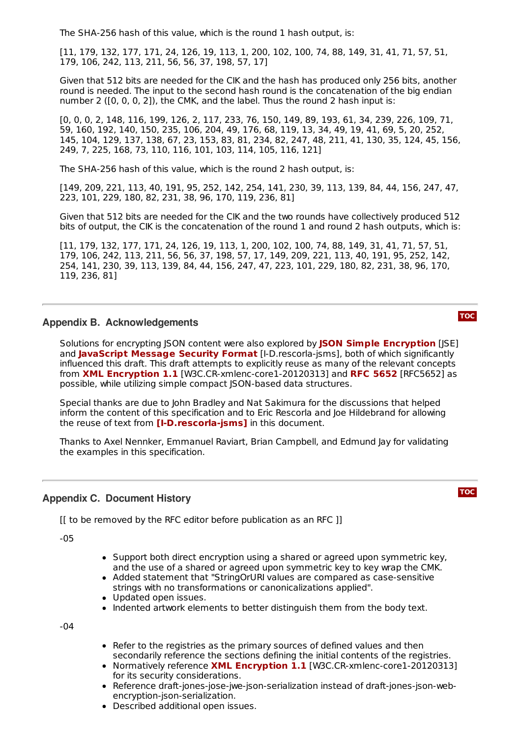The SHA-256 hash of this value, which is the round 1 hash output, is:

[11, 179, 132, 177, 171, 24, 126, 19, 113, 1, 200, 102, 100, 74, 88, 149, 31, 41, 71, 57, 51, 179, 106, 242, 113, 211, 56, 56, 37, 198, 57, 17]

Given that 512 bits are needed for the CIK and the hash has produced only 256 bits, another round is needed. The input to the second hash round is the concatenation of the big endian number 2 ([0, 0, 0, 2]), the CMK, and the label. Thus the round 2 hash input is:

[0, 0, 0, 2, 148, 116, 199, 126, 2, 117, 233, 76, 150, 149, 89, 193, 61, 34, 239, 226, 109, 71, 59, 160, 192, 140, 150, 235, 106, 204, 49, 176, 68, 119, 13, 34, 49, 19, 41, 69, 5, 20, 252, 145, 104, 129, 137, 138, 67, 23, 153, 83, 81, 234, 82, 247, 48, 211, 41, 130, 35, 124, 45, 156, 249, 7, 225, 168, 73, 110, 116, 101, 103, 114, 105, 116, 121]

The SHA-256 hash of this value, which is the round 2 hash output, is:

[149, 209, 221, 113, 40, 191, 95, 252, 142, 254, 141, 230, 39, 113, 139, 84, 44, 156, 247, 47, 223, 101, 229, 180, 82, 231, 38, 96, 170, 119, 236, 81]

Given that 512 bits are needed for the CIK and the two rounds have collectively produced 512 bits of output, the CIK is the concatenation of the round 1 and round 2 hash outputs, which is:

[11, 179, 132, 177, 171, 24, 126, 19, 113, 1, 200, 102, 100, 74, 88, 149, 31, 41, 71, 57, 51, 179, 106, 242, 113, 211, 56, 56, 37, 198, 57, 17, 149, 209, 221, 113, 40, 191, 95, 252, 142, 254, 141, 230, 39, 113, 139, 84, 44, 156, 247, 47, 223, 101, 229, 180, 82, 231, 38, 96, 170, 119, 236, 81]

#### <span id="page-25-0"></span>**Appendix B. Acknowledgements**

**Solutions for encrypting JSON content were also explored by JSON Simple [Encryption](#page-15-24) [JSE]** and [JavaScript](#page-15-25) Message Security Format [I-D.rescorla-jsms], both of which significantly influenced this draft. This draft attempts to explicitly reuse as many of the relevant concepts **from XML [Encryption](#page-15-23) 1.1** [W3C.CR-xmlenc-core1-20120313] and RFC [5652](#page-15-26) [RFC5652] as possible, while utilizing simple compact JSON-based data structures.

Special thanks are due to John Bradley and Nat Sakimura for the discussions that helped inform the content of this specification and to Eric Rescorla and Joe Hildebrand for allowing  ${\bf b}$  the reuse of text from [I-[D.rescorla](#page-15-25)-jsms] in this document.

Thanks to Axel Nennker, Emmanuel Raviart, Brian Campbell, and Edmund Jay for validating the examples in this specification.

#### <span id="page-25-1"></span>**Appendix C. Document History**

**[TOC](#page-0-0)**

**[TOC](#page-0-0)**

[[ to be removed by the RFC editor before publication as an RFC ]]

-05

- Support both direct encryption using a shared or agreed upon symmetric key, and the use of a shared or agreed upon symmetric key to key wrap the CMK.
- Added statement that "StringOrURI values are compared as case-sensitive strings with no transformations or canonicalizations applied".
- Updated open issues.
- Indented artwork elements to better distinguish them from the body text.

-04

- Refer to the registries as the primary sources of defined values and then secondarily reference the sections defining the initial contents of the registries.
- **Normatively reference XML [Encryption](#page-15-23) 1.1** [W3C.CR-xmlenc-core1-20120313] for its security considerations.
- Reference draft-jones-jose-jwe-json-serialization instead of draft-jones-json-webencryption-json-serialization.
- Described additional open issues.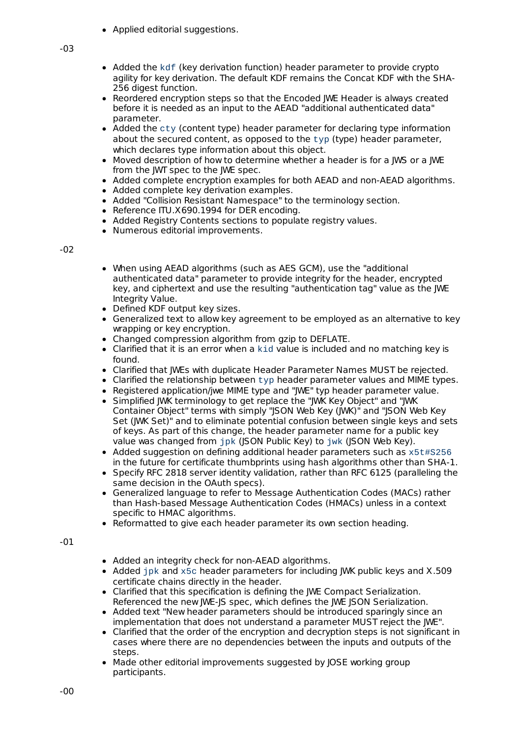• Applied editorial suggestions.

- Added the kdf (key derivation function) header parameter to provide crypto agility for key derivation. The default KDF remains the Concat KDF with the SHA-256 digest function.
- Reordered encryption steps so that the Encoded IWE Header is always created before it is needed as an input to the AEAD "additional authenticated data" parameter.
- Added the cty (content type) header parameter for declaring type information about the secured content, as opposed to the typ (type) header parameter, which declares type information about this object.
- Moved description of how to determine whether a header is for a JWS or a JWE from the JWT spec to the JWE spec.
- Added complete encryption examples for both AEAD and non-AEAD algorithms.
- Added complete key derivation examples.
- Added "Collision Resistant Namespace" to the terminology section.
- Reference ITU.X690.1994 for DER encoding.  $\bullet$
- Added Registry Contents sections to populate registry values.
- Numerous editorial improvements.

-02

- When using AEAD algorithms (such as AES GCM), use the "additional authenticated data" parameter to provide integrity for the header, encrypted key, and ciphertext and use the resulting "authentication tag" value as the JWE Integrity Value.
- Defined KDF output key sizes.
- Generalized text to allow key agreement to be employed as an alternative to key wrapping or key encryption.
- Changed compression algorithm from gzip to DEFLATE.
- Clarified that it is an error when a kid value is included and no matching key is found.
- Clarified that IWEs with duplicate Header Parameter Names MUST be rejected.
- Clarified the relationship between typ header parameter values and MIME types.
- Registered application/jwe MIME type and "IWE" typ header parameter value.
- Simplified JWK terminology to get replace the "JWK Key Object" and "JWK Container Object" terms with simply "JSON Web Key (JWK)" and "JSON Web Key Set (JWK Set)" and to eliminate potential confusion between single keys and sets of keys. As part of this change, the header parameter name for a public key value was changed from jpk (JSON Public Key) to jwk (JSON Web Key).
- Added suggestion on defining additional header parameters such as  $x5t#S256$ in the future for certificate thumbprints using hash algorithms other than SHA-1.
- Specify RFC 2818 server identity validation, rather than RFC 6125 (paralleling the same decision in the OAuth specs).
- Generalized language to refer to Message Authentication Codes (MACs) rather than Hash-based Message Authentication Codes (HMACs) unless in a context specific to HMAC algorithms.
- Reformatted to give each header parameter its own section heading.

-01

- Added an integrity check for non-AEAD algorithms.
- Added jpk and x5c header parameters for including JWK public keys and X.509 certificate chains directly in the header.
- Clarified that this specification is defining the JWE Compact Serialization. Referenced the new JWE-JS spec, which defines the JWE JSON Serialization.
- Added text "New header parameters should be introduced sparingly since an implementation that does not understand a parameter MUST reject the JWE".
- Clarified that the order of the encryption and decryption steps is not significant in cases where there are no dependencies between the inputs and outputs of the steps.
- Made other editorial improvements suggested by JOSE working group participants.